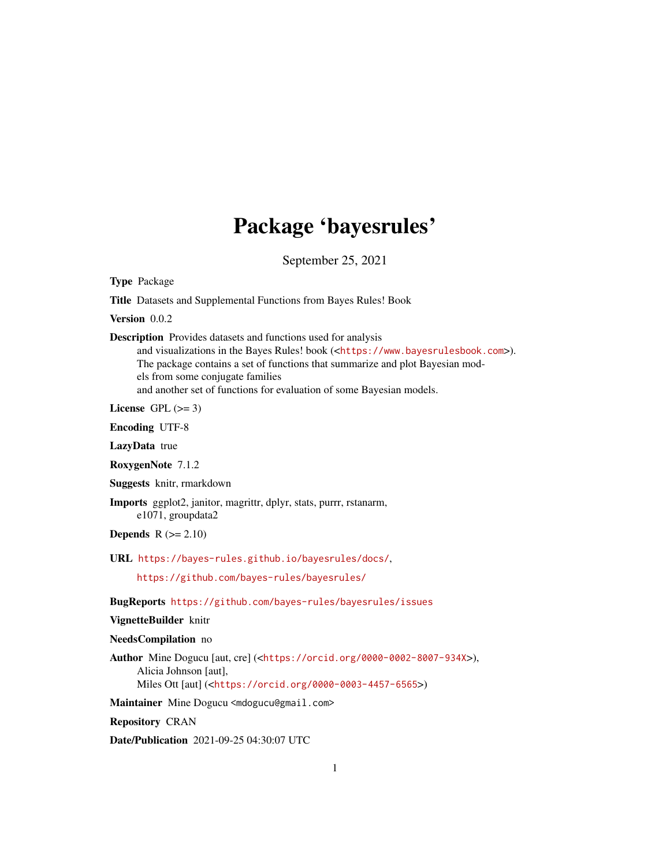## Package 'bayesrules'

September 25, 2021

Type Package

Title Datasets and Supplemental Functions from Bayes Rules! Book

Version 0.0.2

Description Provides datasets and functions used for analysis

and visualizations in the Bayes Rules! book (<<https://www.bayesrulesbook.com>>). The package contains a set of functions that summarize and plot Bayesian models from some conjugate families and another set of functions for evaluation of some Bayesian models.

License GPL  $(>= 3)$ 

Encoding UTF-8

LazyData true

RoxygenNote 7.1.2

Suggests knitr, rmarkdown

Imports ggplot2, janitor, magrittr, dplyr, stats, purrr, rstanarm, e1071, groupdata2

**Depends**  $R$  ( $>= 2.10$ )

URL <https://bayes-rules.github.io/bayesrules/docs/>,

<https://github.com/bayes-rules/bayesrules/>

BugReports <https://github.com/bayes-rules/bayesrules/issues>

#### VignetteBuilder knitr

#### NeedsCompilation no

Author Mine Dogucu [aut, cre] (<<https://orcid.org/0000-0002-8007-934X>>), Alicia Johnson [aut], Miles Ott [aut] (<<https://orcid.org/0000-0003-4457-6565>>)

Maintainer Mine Dogucu <mdogucu@gmail.com>

Repository CRAN

Date/Publication 2021-09-25 04:30:07 UTC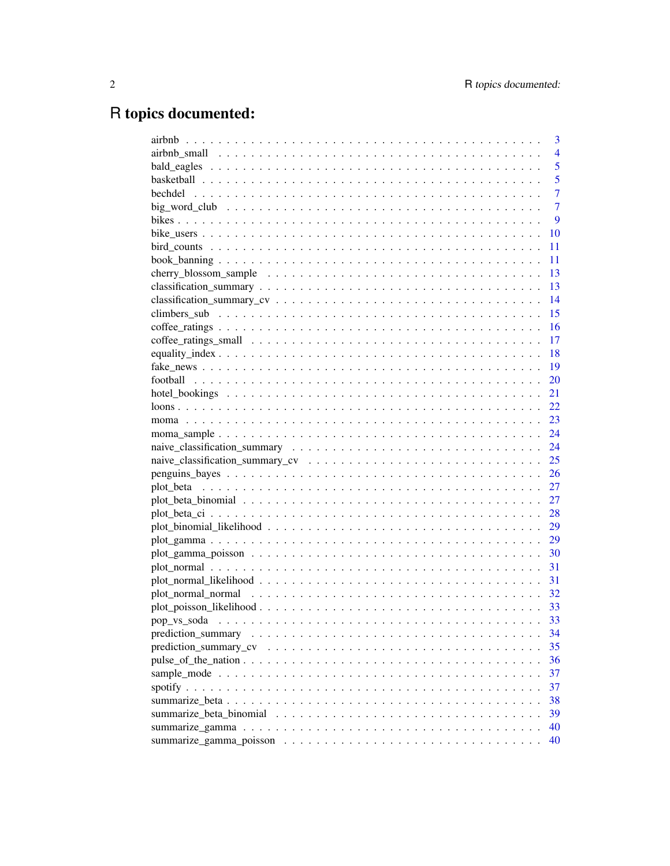## R topics documented:

| 3              |
|----------------|
| $\overline{4}$ |
| 5              |
| 5              |
| $\overline{7}$ |
| $\overline{7}$ |
| 9              |
| 10             |
| 11             |
| 11             |
| 13             |
| 13             |
| 14             |
| 15             |
| 16             |
| 17             |
| 18             |
| 19             |
| 20             |
| 21             |
| 22             |
| 23             |
| 24             |
| 24             |
| 25             |
| 26             |
| 27             |
| 27             |
| 28             |
| 29             |
| 29             |
| 30             |
| 31             |
| 31             |
| 32             |
|                |
| 33             |
| 34             |
| 35             |
| 36             |
| 37             |
| 37             |
| 38             |
| 39             |
| 40             |
| 40             |
|                |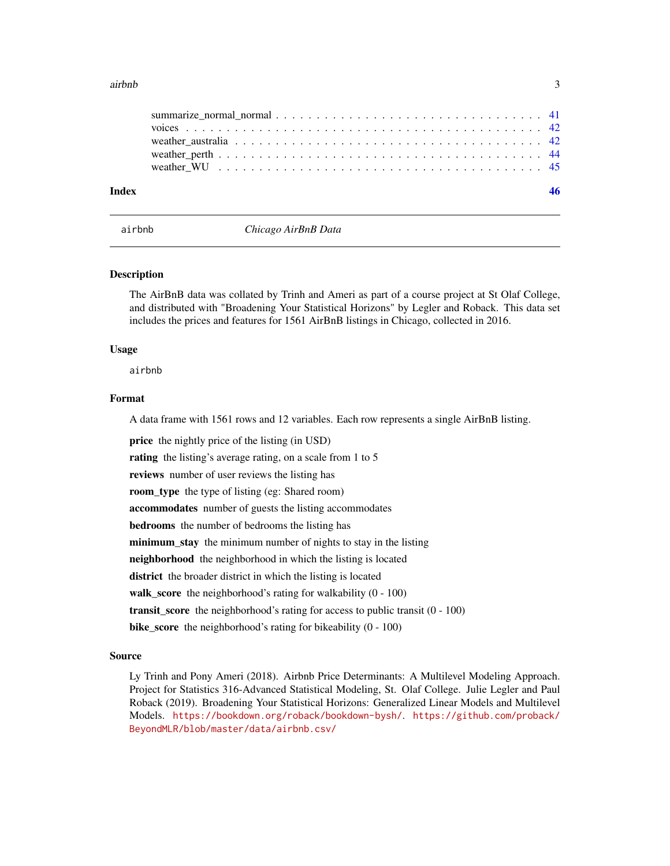#### <span id="page-2-0"></span>airbnb 3

| Index |  |
|-------|--|
|       |  |
|       |  |
|       |  |
|       |  |
|       |  |

airbnb *Chicago AirBnB Data*

### Description

The AirBnB data was collated by Trinh and Ameri as part of a course project at St Olaf College, and distributed with "Broadening Your Statistical Horizons" by Legler and Roback. This data set includes the prices and features for 1561 AirBnB listings in Chicago, collected in 2016.

### Usage

airbnb

### Format

A data frame with 1561 rows and 12 variables. Each row represents a single AirBnB listing.

price the nightly price of the listing (in USD)

rating the listing's average rating, on a scale from 1 to 5

reviews number of user reviews the listing has

room\_type the type of listing (eg: Shared room)

accommodates number of guests the listing accommodates

bedrooms the number of bedrooms the listing has

minimum\_stay the minimum number of nights to stay in the listing

neighborhood the neighborhood in which the listing is located

district the broader district in which the listing is located

walk\_score the neighborhood's rating for walkability (0 - 100)

transit\_score the neighborhood's rating for access to public transit (0 - 100)

bike\_score the neighborhood's rating for bikeability (0 - 100)

### Source

Ly Trinh and Pony Ameri (2018). Airbnb Price Determinants: A Multilevel Modeling Approach. Project for Statistics 316-Advanced Statistical Modeling, St. Olaf College. Julie Legler and Paul Roback (2019). Broadening Your Statistical Horizons: Generalized Linear Models and Multilevel Models. <https://bookdown.org/roback/bookdown-bysh/>. [https://github.com/proback/](https://github.com/proback/BeyondMLR/blob/master/data/airbnb.csv/) [BeyondMLR/blob/master/data/airbnb.csv/](https://github.com/proback/BeyondMLR/blob/master/data/airbnb.csv/)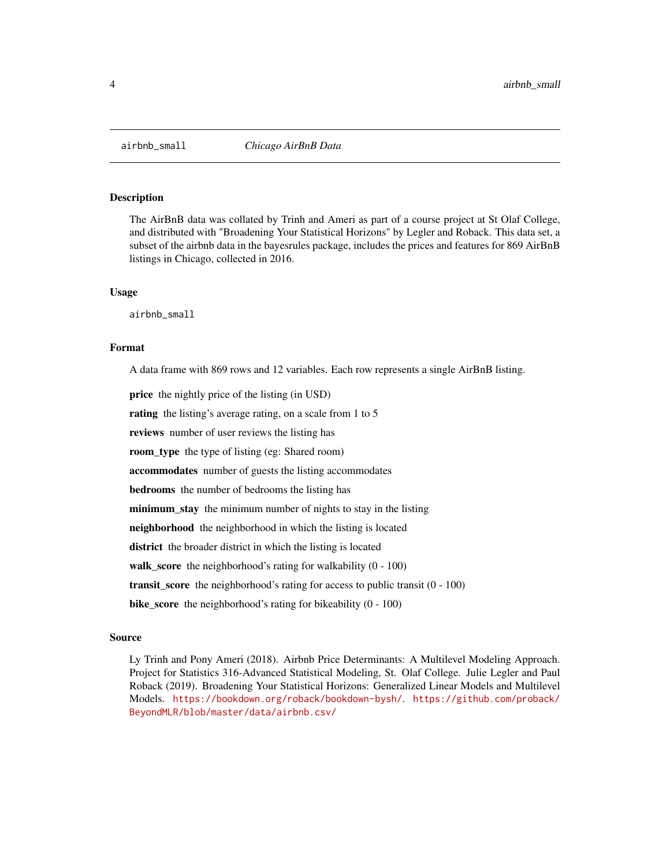<span id="page-3-0"></span>

The AirBnB data was collated by Trinh and Ameri as part of a course project at St Olaf College, and distributed with "Broadening Your Statistical Horizons" by Legler and Roback. This data set, a subset of the airbnb data in the bayesrules package, includes the prices and features for 869 AirBnB listings in Chicago, collected in 2016.

#### Usage

airbnb\_small

#### Format

A data frame with 869 rows and 12 variables. Each row represents a single AirBnB listing.

price the nightly price of the listing (in USD)

rating the listing's average rating, on a scale from 1 to 5

reviews number of user reviews the listing has

room\_type the type of listing (eg: Shared room)

accommodates number of guests the listing accommodates

bedrooms the number of bedrooms the listing has

minimum\_stay the minimum number of nights to stay in the listing

neighborhood the neighborhood in which the listing is located

district the broader district in which the listing is located

walk\_score the neighborhood's rating for walkability (0 - 100)

**transit** score the neighborhood's rating for access to public transit  $(0 - 100)$ 

bike\_score the neighborhood's rating for bikeability (0 - 100)

#### Source

Ly Trinh and Pony Ameri (2018). Airbnb Price Determinants: A Multilevel Modeling Approach. Project for Statistics 316-Advanced Statistical Modeling, St. Olaf College. Julie Legler and Paul Roback (2019). Broadening Your Statistical Horizons: Generalized Linear Models and Multilevel Models. <https://bookdown.org/roback/bookdown-bysh/>. [https://github.com/proback/](https://github.com/proback/BeyondMLR/blob/master/data/airbnb.csv/) [BeyondMLR/blob/master/data/airbnb.csv/](https://github.com/proback/BeyondMLR/blob/master/data/airbnb.csv/)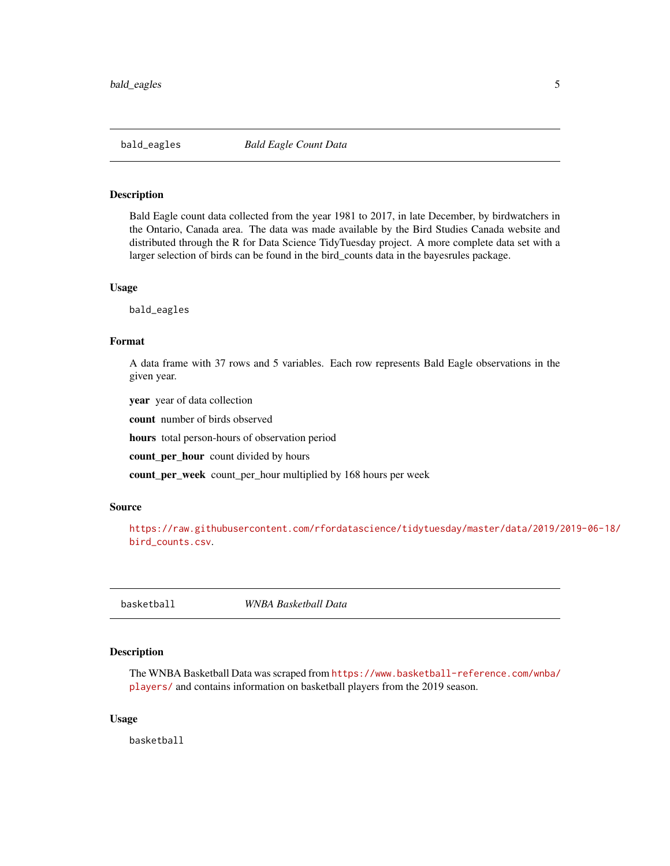<span id="page-4-0"></span>

Bald Eagle count data collected from the year 1981 to 2017, in late December, by birdwatchers in the Ontario, Canada area. The data was made available by the Bird Studies Canada website and distributed through the R for Data Science TidyTuesday project. A more complete data set with a larger selection of birds can be found in the bird\_counts data in the bayesrules package.

### Usage

bald\_eagles

### Format

A data frame with 37 rows and 5 variables. Each row represents Bald Eagle observations in the given year.

year year of data collection

count number of birds observed

hours total person-hours of observation period

count\_per\_hour count divided by hours

count\_per\_week count\_per\_hour multiplied by 168 hours per week

#### Source

[https://raw.githubusercontent.com/rfordatascience/tidytuesday/master/data/2019/2](https://raw.githubusercontent.com/rfordatascience/tidytuesday/master/data/2019/2019-06-18/bird_counts.csv)019-06-18/ [bird\\_counts.csv](https://raw.githubusercontent.com/rfordatascience/tidytuesday/master/data/2019/2019-06-18/bird_counts.csv).

basketball *WNBA Basketball Data*

### Description

The WNBA Basketball Data was scraped from [https://www.basketball-reference.com/wnba/](https://www.basketball-reference.com/wnba/players/) [players/](https://www.basketball-reference.com/wnba/players/) and contains information on basketball players from the 2019 season.

### Usage

basketball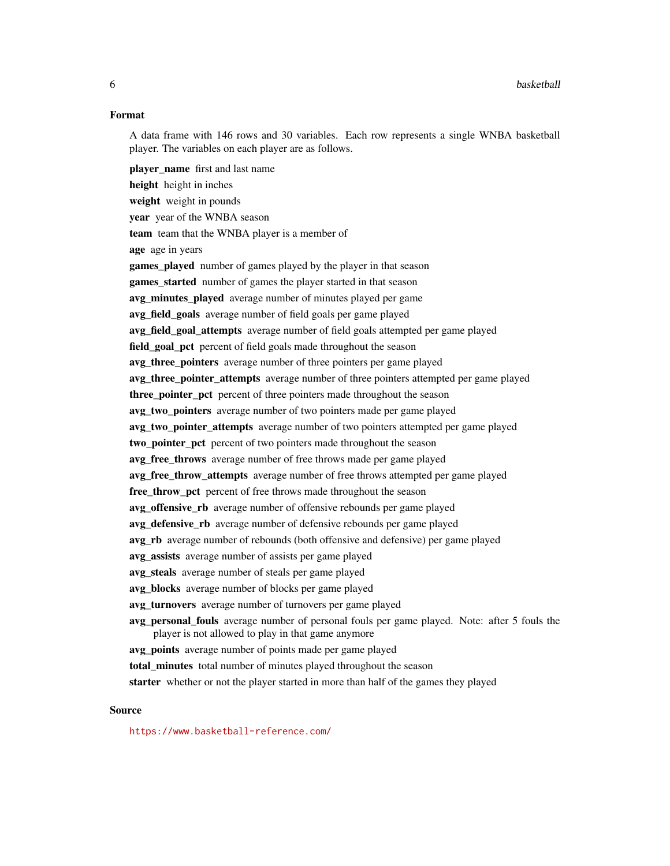### Format

A data frame with 146 rows and 30 variables. Each row represents a single WNBA basketball player. The variables on each player are as follows.

player\_name first and last name height height in inches weight weight in pounds year year of the WNBA season team team that the WNBA player is a member of age age in years games\_played number of games played by the player in that season games\_started number of games the player started in that season avg\_minutes\_played average number of minutes played per game avg field goals average number of field goals per game played avg\_field\_goal\_attempts average number of field goals attempted per game played field\_goal\_pct percent of field goals made throughout the season avg three pointers average number of three pointers per game played avg\_three\_pointer\_attempts average number of three pointers attempted per game played three\_pointer\_pct percent of three pointers made throughout the season avg two pointers average number of two pointers made per game played avg\_two\_pointer\_attempts average number of two pointers attempted per game played two\_pointer\_pct percent of two pointers made throughout the season avg free throws average number of free throws made per game played avg\_free\_throw\_attempts average number of free throws attempted per game played free\_throw\_pct percent of free throws made throughout the season avg offensive rb average number of offensive rebounds per game played avg\_defensive\_rb average number of defensive rebounds per game played avg\_rb average number of rebounds (both offensive and defensive) per game played avg assists average number of assists per game played avg\_steals average number of steals per game played avg\_blocks average number of blocks per game played avg turnovers average number of turnovers per game played avg personal fouls average number of personal fouls per game played. Note: after 5 fouls the player is not allowed to play in that game anymore avg\_points average number of points made per game played total\_minutes total number of minutes played throughout the season starter whether or not the player started in more than half of the games they played

### Source

<https://www.basketball-reference.com/>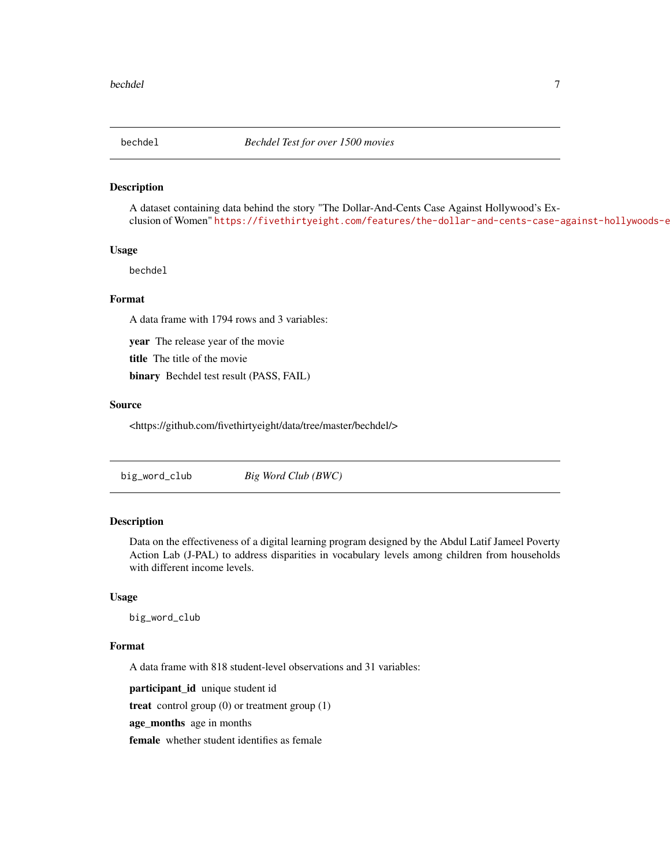<span id="page-6-0"></span>

A dataset containing data behind the story "The Dollar-And-Cents Case Against Hollywood's Exclusion of Women" https://fivethirtyeight.com/features/the-dollar-and-cents-case-against-hollywoods-e

#### Usage

bechdel

### Format

A data frame with 1794 rows and 3 variables:

year The release year of the movie

title The title of the movie

binary Bechdel test result (PASS, FAIL)

### Source

<https://github.com/fivethirtyeight/data/tree/master/bechdel/>

### Description

Data on the effectiveness of a digital learning program designed by the Abdul Latif Jameel Poverty Action Lab (J-PAL) to address disparities in vocabulary levels among children from households with different income levels.

### Usage

big\_word\_club

#### Format

A data frame with 818 student-level observations and 31 variables:

participant\_id unique student id

treat control group (0) or treatment group (1)

age\_months age in months

female whether student identifies as female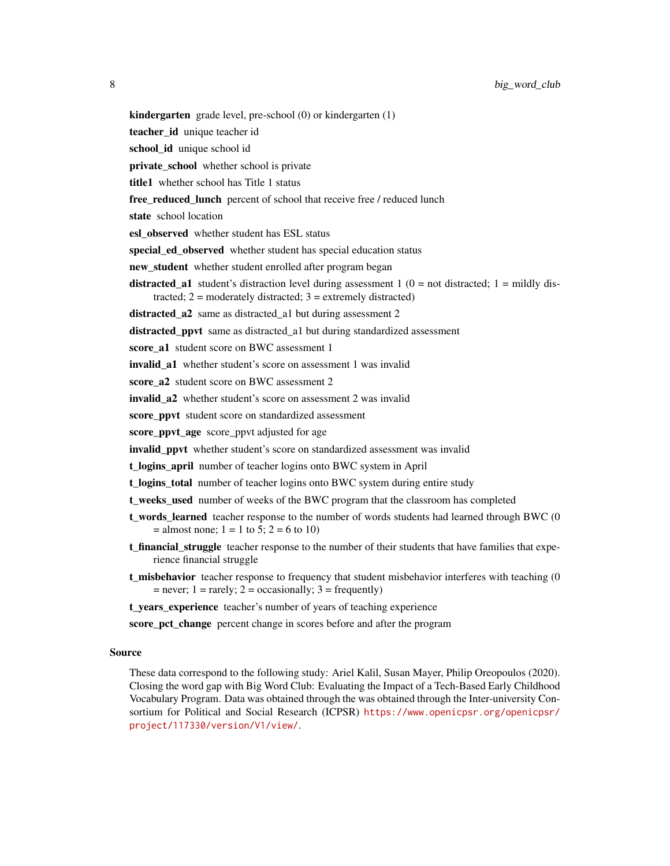kindergarten grade level, pre-school (0) or kindergarten (1)

teacher\_id unique teacher id

school\_id unique school id

private school whether school is private

title1 whether school has Title 1 status

free\_reduced\_lunch percent of school that receive free / reduced lunch

state school location

esl\_observed whether student has ESL status

special ed observed whether student has special education status

new student whether student enrolled after program began

**distracted\_a1** student's distraction level during assessment  $1$  ( $0 =$  not distracted;  $1 =$  mildly distracted;  $2 =$  moderately distracted;  $3 =$  extremely distracted)

distracted a2 same as distracted a1 but during assessment 2

distracted\_ppvt same as distracted\_a1 but during standardized assessment

score\_a1 student score on BWC assessment 1

invalid a1 whether student's score on assessment 1 was invalid

score\_a2 student score on BWC assessment 2

invalid a2 whether student's score on assessment 2 was invalid

score\_ppvt student score on standardized assessment

score\_ppvt\_age score\_ppvt adjusted for age

invalid\_ppvt whether student's score on standardized assessment was invalid

t\_logins\_april number of teacher logins onto BWC system in April

t logins total number of teacher logins onto BWC system during entire study

t\_weeks\_used number of weeks of the BWC program that the classroom has completed

- t\_words\_learned teacher response to the number of words students had learned through BWC (0  $=$  almost none;  $1 = 1$  to 5;  $2 = 6$  to 10)
- t\_financial\_struggle teacher response to the number of their students that have families that experience financial struggle
- **t\_misbehavior** teacher response to frequency that student misbehavior interferes with teaching (0  $=$  never; 1 = rarely; 2 = occasionally; 3 = frequently)

t\_years\_experience teacher's number of years of teaching experience

score pct change percent change in scores before and after the program

### Source

These data correspond to the following study: Ariel Kalil, Susan Mayer, Philip Oreopoulos (2020). Closing the word gap with Big Word Club: Evaluating the Impact of a Tech-Based Early Childhood Vocabulary Program. Data was obtained through the was obtained through the Inter-university Consortium for Political and Social Research (ICPSR) [https://www.openicpsr.org/openicpsr/](https://www.openicpsr.org/openicpsr/project/117330/version/V1/view/) [project/117330/version/V1/view/](https://www.openicpsr.org/openicpsr/project/117330/version/V1/view/).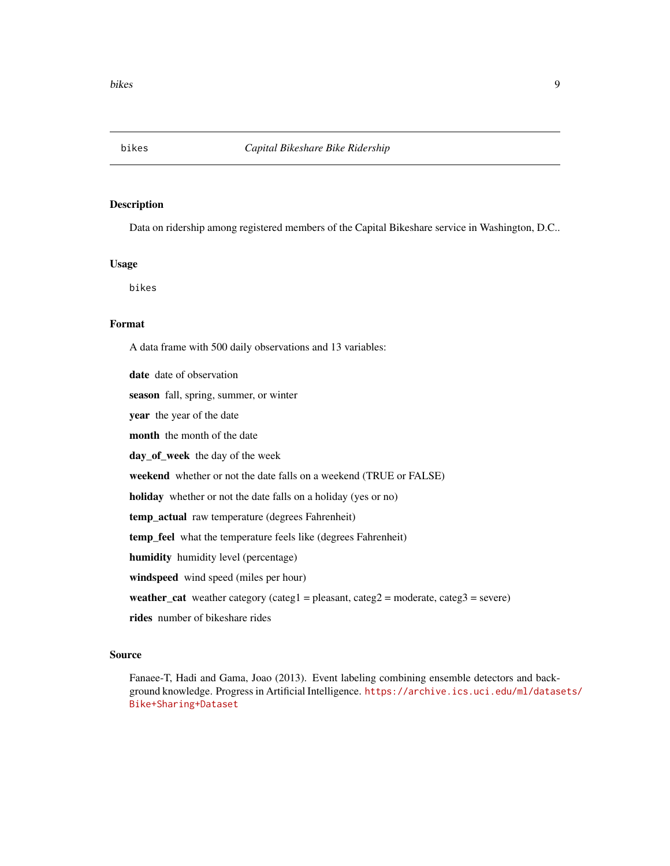<span id="page-8-0"></span>

Data on ridership among registered members of the Capital Bikeshare service in Washington, D.C..

### Usage

bikes

### Format

A data frame with 500 daily observations and 13 variables:

date date of observation season fall, spring, summer, or winter year the year of the date month the month of the date day\_of\_week the day of the week weekend whether or not the date falls on a weekend (TRUE or FALSE) holiday whether or not the date falls on a holiday (yes or no) temp\_actual raw temperature (degrees Fahrenheit) temp\_feel what the temperature feels like (degrees Fahrenheit) humidity humidity level (percentage) windspeed wind speed (miles per hour) weather\_cat weather category (categ1 = pleasant, categ2 = moderate, categ3 = severe) rides number of bikeshare rides

### Source

Fanaee-T, Hadi and Gama, Joao (2013). Event labeling combining ensemble detectors and background knowledge. Progress in Artificial Intelligence. [https://archive.ics.uci.edu/ml/datase](https://archive.ics.uci.edu/ml/datasets/Bike+Sharing+Dataset)ts/ [Bike+Sharing+Dataset](https://archive.ics.uci.edu/ml/datasets/Bike+Sharing+Dataset)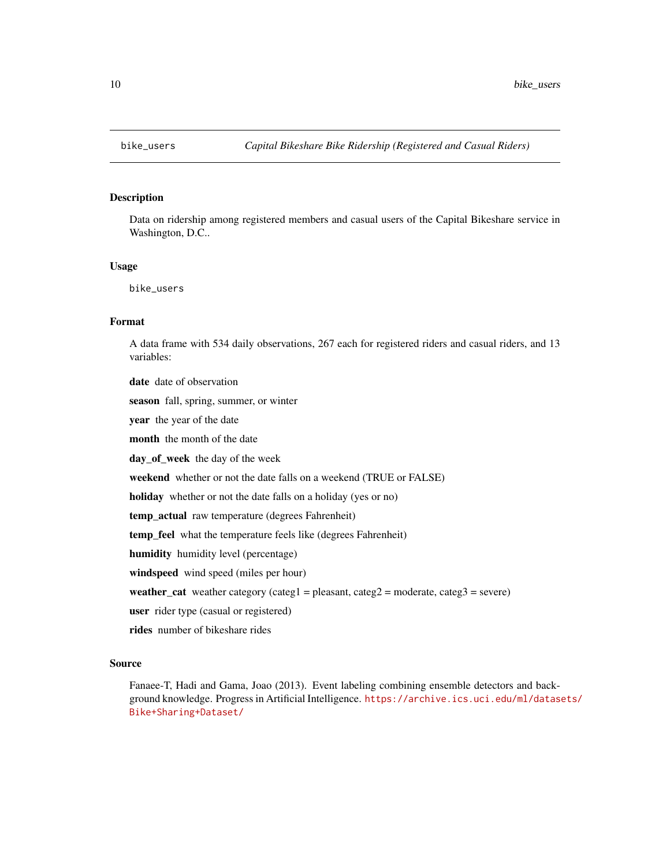<span id="page-9-0"></span>

Data on ridership among registered members and casual users of the Capital Bikeshare service in Washington, D.C..

#### Usage

bike\_users

### Format

A data frame with 534 daily observations, 267 each for registered riders and casual riders, and 13 variables:

date date of observation season fall, spring, summer, or winter year the year of the date month the month of the date day of week the day of the week weekend whether or not the date falls on a weekend (TRUE or FALSE) holiday whether or not the date falls on a holiday (yes or no) temp\_actual raw temperature (degrees Fahrenheit) temp\_feel what the temperature feels like (degrees Fahrenheit) humidity humidity level (percentage) windspeed wind speed (miles per hour) weather\_cat weather category (categ1 = pleasant, categ2 = moderate, categ3 = severe) user rider type (casual or registered) rides number of bikeshare rides

#### Source

Fanaee-T, Hadi and Gama, Joao (2013). Event labeling combining ensemble detectors and background knowledge. Progress in Artificial Intelligence. [https://archive.ics.uci.edu/ml/datase](https://archive.ics.uci.edu/ml/datasets/Bike+Sharing+Dataset/)ts/ [Bike+Sharing+Dataset/](https://archive.ics.uci.edu/ml/datasets/Bike+Sharing+Dataset/)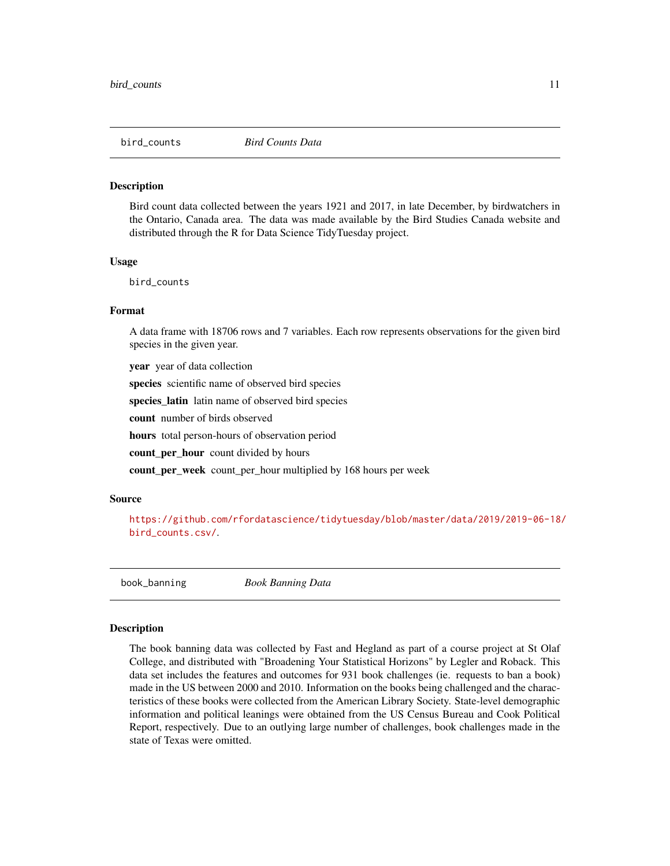<span id="page-10-0"></span>

Bird count data collected between the years 1921 and 2017, in late December, by birdwatchers in the Ontario, Canada area. The data was made available by the Bird Studies Canada website and distributed through the R for Data Science TidyTuesday project.

#### Usage

bird\_counts

#### Format

A data frame with 18706 rows and 7 variables. Each row represents observations for the given bird species in the given year.

year year of data collection

species scientific name of observed bird species

species\_latin latin name of observed bird species

count number of birds observed

hours total person-hours of observation period

count per hour count divided by hours

count\_per\_week count\_per\_hour multiplied by 168 hours per week

#### Source

[https://github.com/rfordatascience/tidytuesday/blob/master/data/2019/2019-06-18/](https://github.com/rfordatascience/tidytuesday/blob/master/data/2019/2019-06-18/bird_counts.csv/) [bird\\_counts.csv/](https://github.com/rfordatascience/tidytuesday/blob/master/data/2019/2019-06-18/bird_counts.csv/).

book\_banning *Book Banning Data*

### Description

The book banning data was collected by Fast and Hegland as part of a course project at St Olaf College, and distributed with "Broadening Your Statistical Horizons" by Legler and Roback. This data set includes the features and outcomes for 931 book challenges (ie. requests to ban a book) made in the US between 2000 and 2010. Information on the books being challenged and the characteristics of these books were collected from the American Library Society. State-level demographic information and political leanings were obtained from the US Census Bureau and Cook Political Report, respectively. Due to an outlying large number of challenges, book challenges made in the state of Texas were omitted.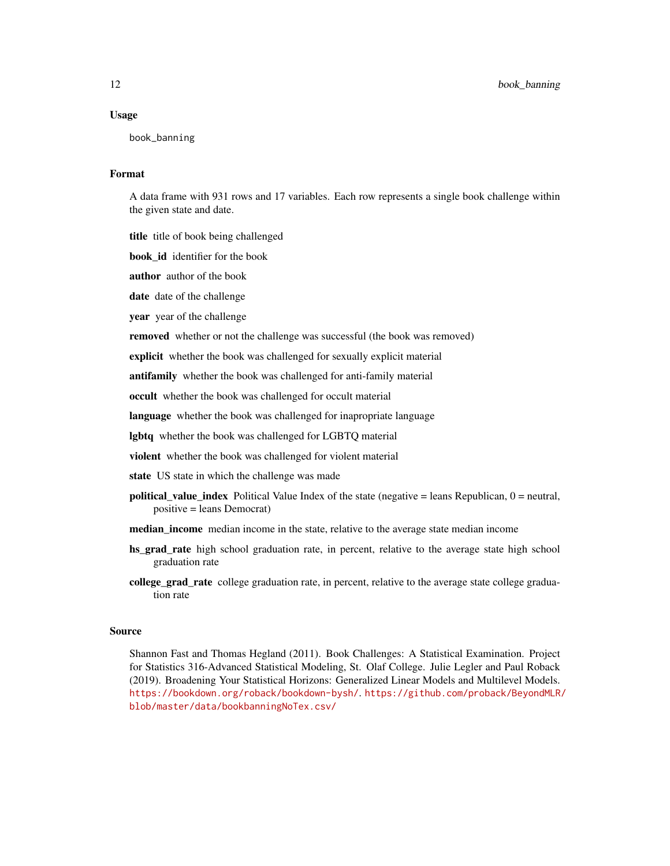### Usage

book\_banning

### Format

A data frame with 931 rows and 17 variables. Each row represents a single book challenge within the given state and date.

title title of book being challenged

book\_id identifier for the book

author author of the book

date date of the challenge

year year of the challenge

removed whether or not the challenge was successful (the book was removed)

explicit whether the book was challenged for sexually explicit material

antifamily whether the book was challenged for anti-family material

occult whether the book was challenged for occult material

language whether the book was challenged for inapropriate language

lgbtq whether the book was challenged for LGBTQ material

violent whether the book was challenged for violent material

state US state in which the challenge was made

- **political value index** Political Value Index of the state (negative  $=$  leans Republican,  $0 =$  neutral, positive = leans Democrat)
- median\_income median income in the state, relative to the average state median income
- hs\_grad\_rate high school graduation rate, in percent, relative to the average state high school graduation rate
- college\_grad\_rate college graduation rate, in percent, relative to the average state college graduation rate

#### Source

Shannon Fast and Thomas Hegland (2011). Book Challenges: A Statistical Examination. Project for Statistics 316-Advanced Statistical Modeling, St. Olaf College. Julie Legler and Paul Roback (2019). Broadening Your Statistical Horizons: Generalized Linear Models and Multilevel Models. <https://bookdown.org/roback/bookdown-bysh/>. [https://github.com/proback/BeyondMLR/](https://github.com/proback/BeyondMLR/blob/master/data/bookbanningNoTex.csv/) [blob/master/data/bookbanningNoTex.csv/](https://github.com/proback/BeyondMLR/blob/master/data/bookbanningNoTex.csv/)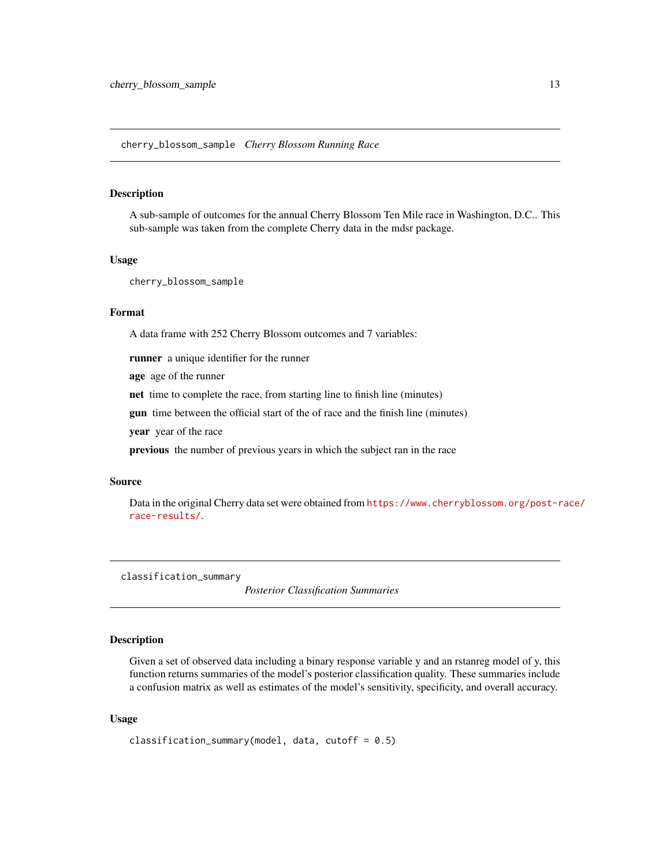<span id="page-12-0"></span>A sub-sample of outcomes for the annual Cherry Blossom Ten Mile race in Washington, D.C.. This sub-sample was taken from the complete Cherry data in the mdsr package.

#### Usage

cherry\_blossom\_sample

### Format

A data frame with 252 Cherry Blossom outcomes and 7 variables:

runner a unique identifier for the runner

age age of the runner

net time to complete the race, from starting line to finish line (minutes)

gun time between the official start of the of race and the finish line (minutes)

year year of the race

previous the number of previous years in which the subject ran in the race

#### Source

Data in the original Cherry data set were obtained from [https://www.cherryblossom.org/post-r](https://www.cherryblossom.org/post-race/race-results/)ace/ [race-results/](https://www.cherryblossom.org/post-race/race-results/).

classification\_summary

*Posterior Classification Summaries*

### Description

Given a set of observed data including a binary response variable y and an rstanreg model of y, this function returns summaries of the model's posterior classification quality. These summaries include a confusion matrix as well as estimates of the model's sensitivity, specificity, and overall accuracy.

### Usage

```
classification_summary(model, data, cutoff = 0.5)
```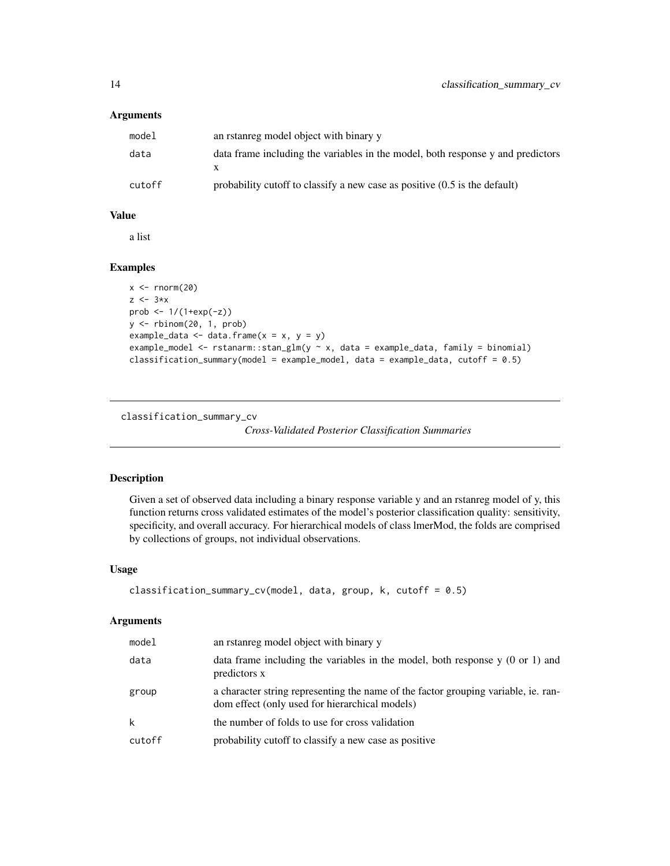### <span id="page-13-0"></span>Arguments

| model  | an rstanreg model object with binary y                                          |
|--------|---------------------------------------------------------------------------------|
| data   | data frame including the variables in the model, both response y and predictors |
| cutoff | probability cutoff to classify a new case as positive $(0.5$ is the default)    |

### Value

a list

### Examples

```
x < - rnorm(20)
z \leftarrow 3*xprob <- 1/(1+exp(-z))
y <- rbinom(20, 1, prob)
example_data <- data.frame(x = x, y = y)example_model <- rstanarm::stan_glm(y ~ x, data = example_data, family = binomial)
classification_summary(model = example_model, data = example_data, cutoff = 0.5)
```
classification\_summary\_cv

*Cross-Validated Posterior Classification Summaries*

### Description

Given a set of observed data including a binary response variable y and an rstanreg model of y, this function returns cross validated estimates of the model's posterior classification quality: sensitivity, specificity, and overall accuracy. For hierarchical models of class lmerMod, the folds are comprised by collections of groups, not individual observations.

### Usage

```
classification_summary_cv(model, data, group, k, cutoff = 0.5)
```
### Arguments

| model  | an rstanreg model object with binary y                                                                                               |
|--------|--------------------------------------------------------------------------------------------------------------------------------------|
| data   | data frame including the variables in the model, both response $y(0 \text{ or } 1)$ and<br>predictors x                              |
| group  | a character string representing the name of the factor grouping variable, ie. ran-<br>dom effect (only used for hierarchical models) |
| k      | the number of folds to use for cross validation                                                                                      |
| cutoff | probability cutoff to classify a new case as positive                                                                                |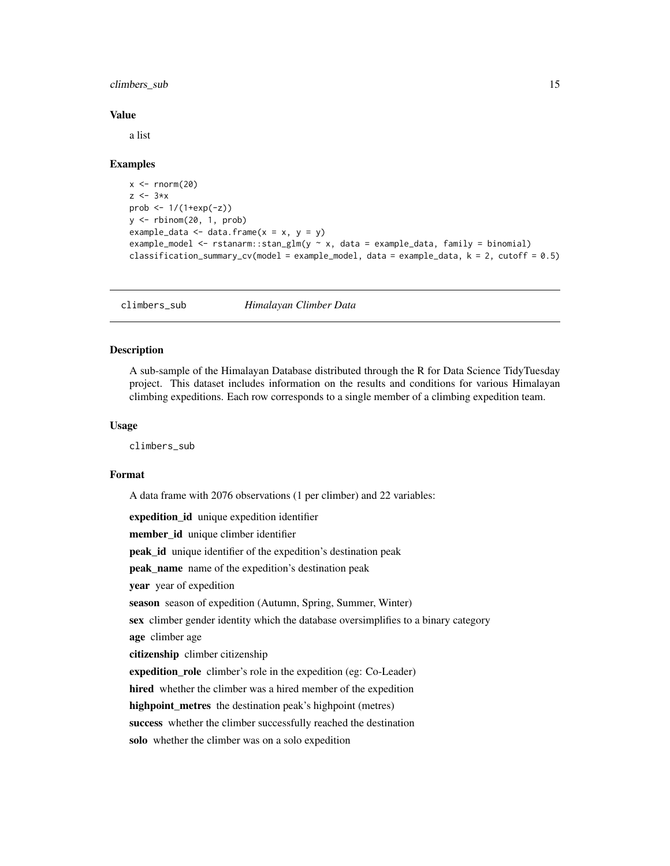<span id="page-14-0"></span>climbers\_sub 15

#### Value

a list

### Examples

```
x < - rnorm(20)
z \leftarrow 3*xprob <- 1/(1+exp(-z))
y <- rbinom(20, 1, prob)
example_data <- data.frame(x = x, y = y)example_model <- rstanarm::stan_glm(y ~ x, data = example_data, family = binomial)
classification_summary_cv(model = example_model, data = example_data, k = 2, cutoff = 0.5)
```
climbers\_sub *Himalayan Climber Data*

### Description

A sub-sample of the Himalayan Database distributed through the R for Data Science TidyTuesday project. This dataset includes information on the results and conditions for various Himalayan climbing expeditions. Each row corresponds to a single member of a climbing expedition team.

#### Usage

climbers\_sub

### Format

A data frame with 2076 observations (1 per climber) and 22 variables:

expedition\_id unique expedition identifier member\_id unique climber identifier peak\_id unique identifier of the expedition's destination peak peak\_name name of the expedition's destination peak year year of expedition season season of expedition (Autumn, Spring, Summer, Winter) sex climber gender identity which the database oversimplifies to a binary category age climber age citizenship climber citizenship expedition\_role climber's role in the expedition (eg: Co-Leader) hired whether the climber was a hired member of the expedition highpoint\_metres the destination peak's highpoint (metres) success whether the climber successfully reached the destination solo whether the climber was on a solo expedition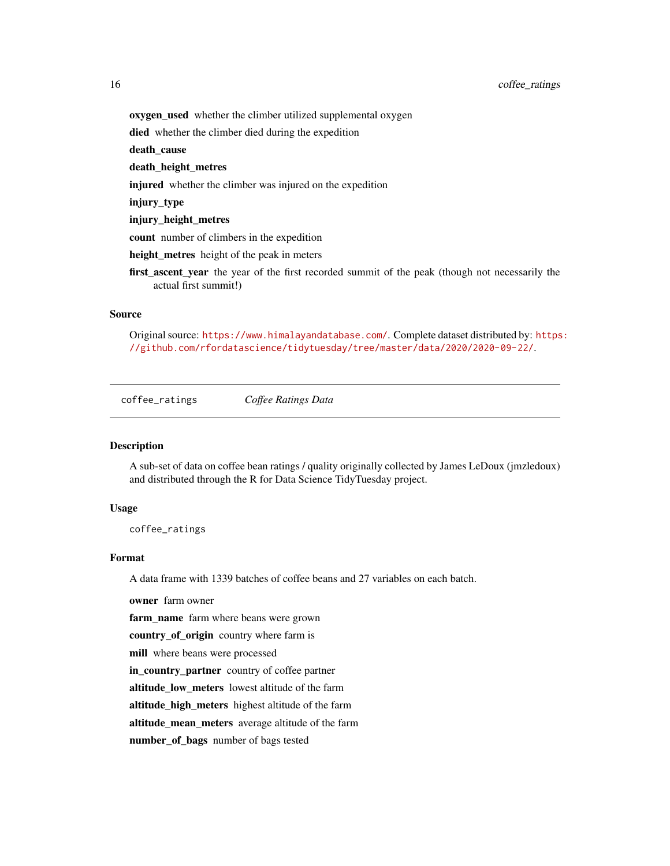### <span id="page-15-0"></span>16 coffee\_ratings

oxygen\_used whether the climber utilized supplemental oxygen

died whether the climber died during the expedition

death cause

### death\_height\_metres

injured whether the climber was injured on the expedition

injury\_type

injury\_height\_metres

count number of climbers in the expedition

height\_metres height of the peak in meters

first\_ascent\_year the year of the first recorded summit of the peak (though not necessarily the actual first summit!)

### Source

Original source: <https://www.himalayandatabase.com/>. Complete dataset distributed by: [https](https://github.com/rfordatascience/tidytuesday/tree/master/data/2020/2020-09-22/): [//github.com/rfordatascience/tidytuesday/tree/master/data/2020/2020-09-22/](https://github.com/rfordatascience/tidytuesday/tree/master/data/2020/2020-09-22/).

coffee\_ratings *Coffee Ratings Data*

### Description

A sub-set of data on coffee bean ratings / quality originally collected by James LeDoux (jmzledoux) and distributed through the R for Data Science TidyTuesday project.

#### Usage

coffee\_ratings

### Format

A data frame with 1339 batches of coffee beans and 27 variables on each batch.

owner farm owner

farm\_name farm where beans were grown

country\_of\_origin country where farm is

mill where beans were processed

in\_country\_partner country of coffee partner

altitude\_low\_meters lowest altitude of the farm

altitude\_high\_meters highest altitude of the farm

altitude\_mean\_meters average altitude of the farm

number\_of\_bags number of bags tested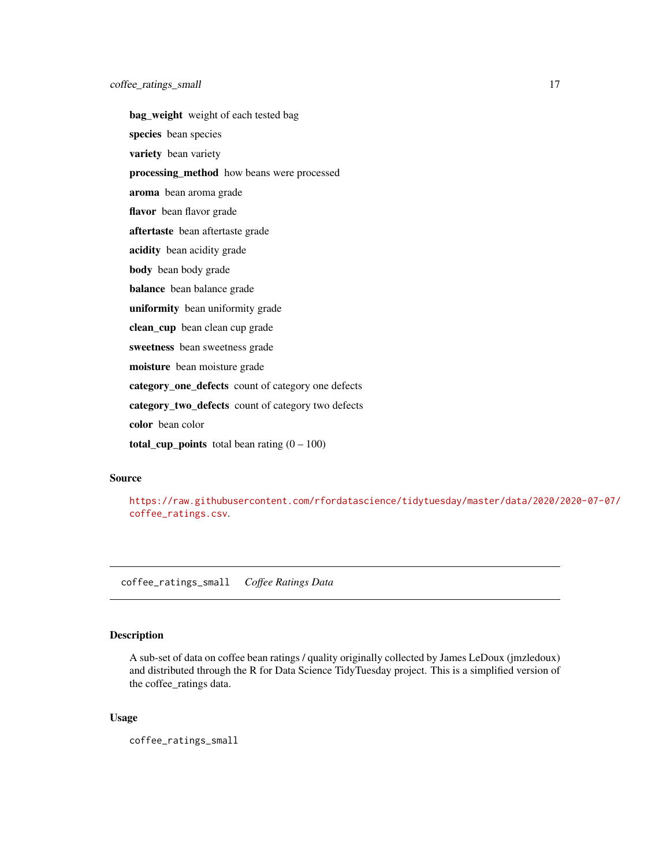<span id="page-16-0"></span>bag\_weight weight of each tested bag species bean species variety bean variety processing\_method how beans were processed aroma bean aroma grade flavor bean flavor grade aftertaste bean aftertaste grade acidity bean acidity grade body bean body grade balance bean balance grade uniformity bean uniformity grade clean\_cup bean clean cup grade sweetness bean sweetness grade moisture bean moisture grade category\_one\_defects count of category one defects category\_two\_defects count of category two defects color bean color total\_cup\_points total bean rating  $(0 - 100)$ 

### Source

[https://raw.githubusercontent.com/rfordatascience/tidytuesday/master/data/2020/2](https://raw.githubusercontent.com/rfordatascience/tidytuesday/master/data/2020/2020-07-07/coffee_ratings.csv)020-07-07/ [coffee\\_ratings.csv](https://raw.githubusercontent.com/rfordatascience/tidytuesday/master/data/2020/2020-07-07/coffee_ratings.csv).

coffee\_ratings\_small *Coffee Ratings Data*

### Description

A sub-set of data on coffee bean ratings / quality originally collected by James LeDoux (jmzledoux) and distributed through the R for Data Science TidyTuesday project. This is a simplified version of the coffee\_ratings data.

### Usage

coffee\_ratings\_small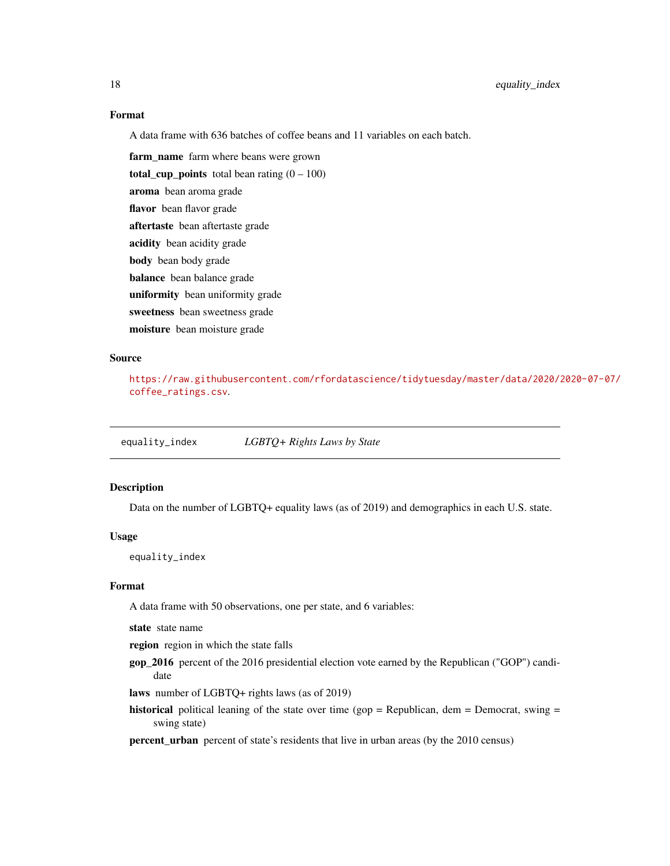### Format

A data frame with 636 batches of coffee beans and 11 variables on each batch.

farm\_name farm where beans were grown total\_cup\_points total bean rating  $(0 - 100)$ aroma bean aroma grade flavor bean flavor grade aftertaste bean aftertaste grade acidity bean acidity grade body bean body grade balance bean balance grade uniformity bean uniformity grade sweetness bean sweetness grade moisture bean moisture grade

### Source

[https://raw.githubusercontent.com/rfordatascience/tidytuesday/master/data/2020/2](https://raw.githubusercontent.com/rfordatascience/tidytuesday/master/data/2020/2020-07-07/coffee_ratings.csv)020-07-07/ [coffee\\_ratings.csv](https://raw.githubusercontent.com/rfordatascience/tidytuesday/master/data/2020/2020-07-07/coffee_ratings.csv).

equality\_index *LGBTQ+ Rights Laws by State*

### Description

Data on the number of LGBTQ+ equality laws (as of 2019) and demographics in each U.S. state.

### Usage

equality\_index

#### Format

A data frame with 50 observations, one per state, and 6 variables:

state state name

region region in which the state falls

gop\_2016 percent of the 2016 presidential election vote earned by the Republican ("GOP") candidate

laws number of LGBTQ+ rights laws (as of 2019)

historical political leaning of the state over time (gop = Republican, dem = Democrat, swing = swing state)

percent\_urban percent of state's residents that live in urban areas (by the 2010 census)

<span id="page-17-0"></span>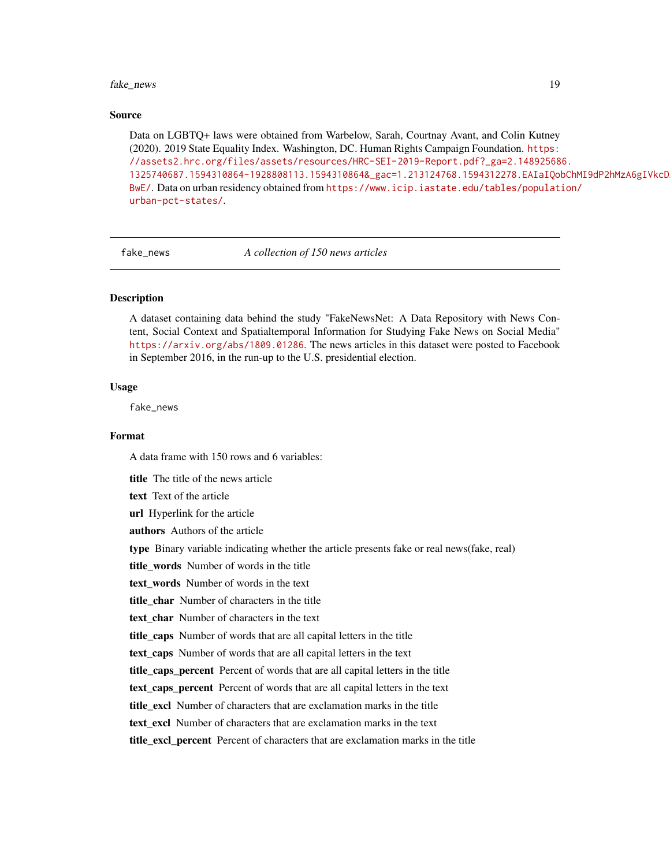#### <span id="page-18-0"></span>fake\_news 19

#### Source

Data on LGBTQ+ laws were obtained from Warbelow, Sarah, Courtnay Avant, and Colin Kutney (2020). 2019 State Equality Index. Washington, DC. Human Rights Campaign Foundation. [https:](https://assets2.hrc.org/files/assets/resources/HRC-SEI-2019-Report.pdf?_ga=2.148925686.1325740687.1594310864-1928808113.1594310864&_gac=1.213124768.1594312278.EAIaIQobChMI9dP2hMzA6gIVkcDACh21GgLEEAAYASAAEgJiJvD_BwE/) [//assets2.hrc.org/files/assets/resources/HRC-SEI-2019-Report.pdf?\\_ga=2.14892568](https://assets2.hrc.org/files/assets/resources/HRC-SEI-2019-Report.pdf?_ga=2.148925686.1325740687.1594310864-1928808113.1594310864&_gac=1.213124768.1594312278.EAIaIQobChMI9dP2hMzA6gIVkcDACh21GgLEEAAYASAAEgJiJvD_BwE/)6. [1325740687.1594310864-1928808113.1594310864&\\_gac=1.213124768.1594312278.EAIaIQob](https://assets2.hrc.org/files/assets/resources/HRC-SEI-2019-Report.pdf?_ga=2.148925686.1325740687.1594310864-1928808113.1594310864&_gac=1.213124768.1594312278.EAIaIQobChMI9dP2hMzA6gIVkcDACh21GgLEEAAYASAAEgJiJvD_BwE/)ChMI9dP2hMzA6gIVkcD [BwE/](https://assets2.hrc.org/files/assets/resources/HRC-SEI-2019-Report.pdf?_ga=2.148925686.1325740687.1594310864-1928808113.1594310864&_gac=1.213124768.1594312278.EAIaIQobChMI9dP2hMzA6gIVkcDACh21GgLEEAAYASAAEgJiJvD_BwE/). Data on urban residency obtained from [https://www.icip.iastate.edu/tables/populati](https://www.icip.iastate.edu/tables/population/urban-pct-states/)on/ [urban-pct-states/](https://www.icip.iastate.edu/tables/population/urban-pct-states/).

fake\_news *A collection of 150 news articles*

### Description

A dataset containing data behind the study "FakeNewsNet: A Data Repository with News Content, Social Context and Spatialtemporal Information for Studying Fake News on Social Media" <https://arxiv.org/abs/1809.01286>. The news articles in this dataset were posted to Facebook in September 2016, in the run-up to the U.S. presidential election.

### Usage

fake\_news

#### Format

A data frame with 150 rows and 6 variables:

title The title of the news article

text Text of the article

url Hyperlink for the article

authors Authors of the article

type Binary variable indicating whether the article presents fake or real news(fake, real)

title words Number of words in the title

text\_words Number of words in the text

title\_char Number of characters in the title

text char Number of characters in the text

title caps Number of words that are all capital letters in the title

text\_caps Number of words that are all capital letters in the text

title\_caps\_percent Percent of words that are all capital letters in the title

text\_caps\_percent Percent of words that are all capital letters in the text

title\_excl Number of characters that are exclamation marks in the title

text excl Number of characters that are exclamation marks in the text

title\_excl\_percent Percent of characters that are exclamation marks in the title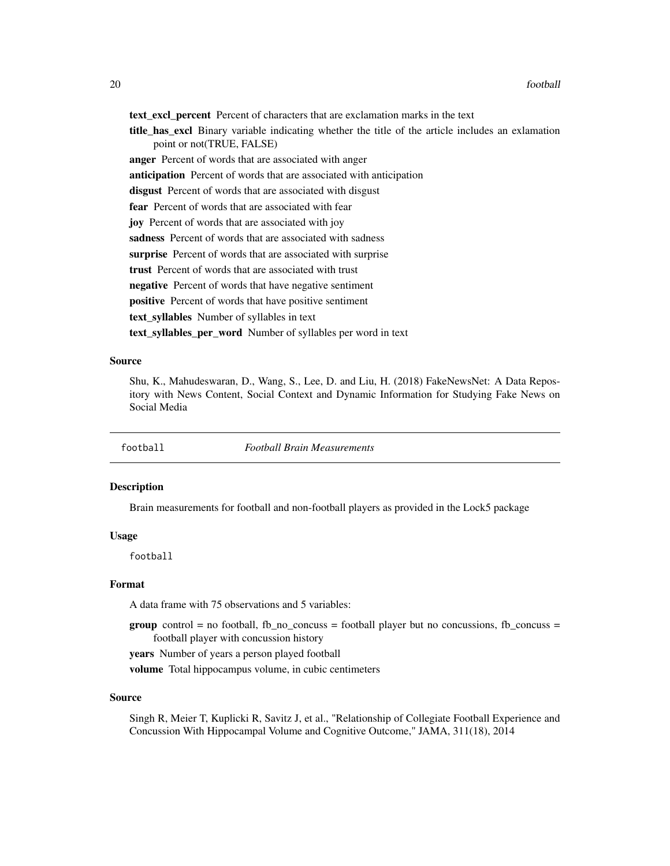<span id="page-19-0"></span>text\_excl\_percent Percent of characters that are exclamation marks in the text

title\_has\_excl Binary variable indicating whether the title of the article includes an exlamation point or not(TRUE, FALSE)

anger Percent of words that are associated with anger

anticipation Percent of words that are associated with anticipation

disgust Percent of words that are associated with disgust

fear Percent of words that are associated with fear

joy Percent of words that are associated with joy

sadness Percent of words that are associated with sadness

surprise Percent of words that are associated with surprise

trust Percent of words that are associated with trust

negative Percent of words that have negative sentiment

positive Percent of words that have positive sentiment

text syllables Number of syllables in text

text\_syllables\_per\_word Number of syllables per word in text

### Source

Shu, K., Mahudeswaran, D., Wang, S., Lee, D. and Liu, H. (2018) FakeNewsNet: A Data Repository with News Content, Social Context and Dynamic Information for Studying Fake News on Social Media

football *Football Brain Measurements*

### **Description**

Brain measurements for football and non-football players as provided in the Lock5 package

### Usage

football

### Format

A data frame with 75 observations and 5 variables:

**group** control = no football, fb\_no\_concuss = football player but no concussions, fb\_concuss = football player with concussion history

years Number of years a person played football

volume Total hippocampus volume, in cubic centimeters

### Source

Singh R, Meier T, Kuplicki R, Savitz J, et al., "Relationship of Collegiate Football Experience and Concussion With Hippocampal Volume and Cognitive Outcome," JAMA, 311(18), 2014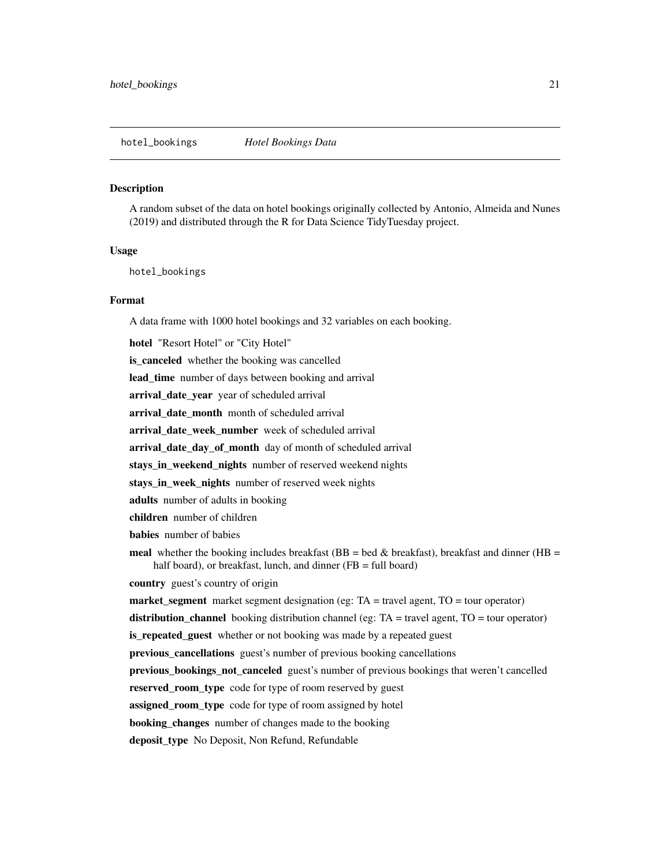<span id="page-20-0"></span>A random subset of the data on hotel bookings originally collected by Antonio, Almeida and Nunes (2019) and distributed through the R for Data Science TidyTuesday project.

### Usage

hotel\_bookings

### Format

A data frame with 1000 hotel bookings and 32 variables on each booking. hotel "Resort Hotel" or "City Hotel" is\_canceled whether the booking was cancelled lead\_time number of days between booking and arrival arrival\_date\_year year of scheduled arrival arrival\_date\_month month of scheduled arrival arrival\_date\_week\_number week of scheduled arrival arrival\_date\_day\_of\_month day of month of scheduled arrival stays\_in\_weekend\_nights number of reserved weekend nights stays\_in\_week\_nights number of reserved week nights adults number of adults in booking children number of children babies number of babies meal whether the booking includes breakfast (BB = bed & breakfast), breakfast and dinner (HB = half board), or breakfast, lunch, and dinner (FB = full board) country guest's country of origin market\_segment market segment designation (eg: TA = travel agent, TO = tour operator) distribution\_channel booking distribution channel (eg:  $TA = travel$  agent,  $TO = tour$  operator) is\_repeated\_guest whether or not booking was made by a repeated guest previous\_cancellations guest's number of previous booking cancellations previous\_bookings\_not\_canceled guest's number of previous bookings that weren't cancelled reserved\_room\_type code for type of room reserved by guest assigned\_room\_type code for type of room assigned by hotel **booking** changes number of changes made to the booking deposit\_type No Deposit, Non Refund, Refundable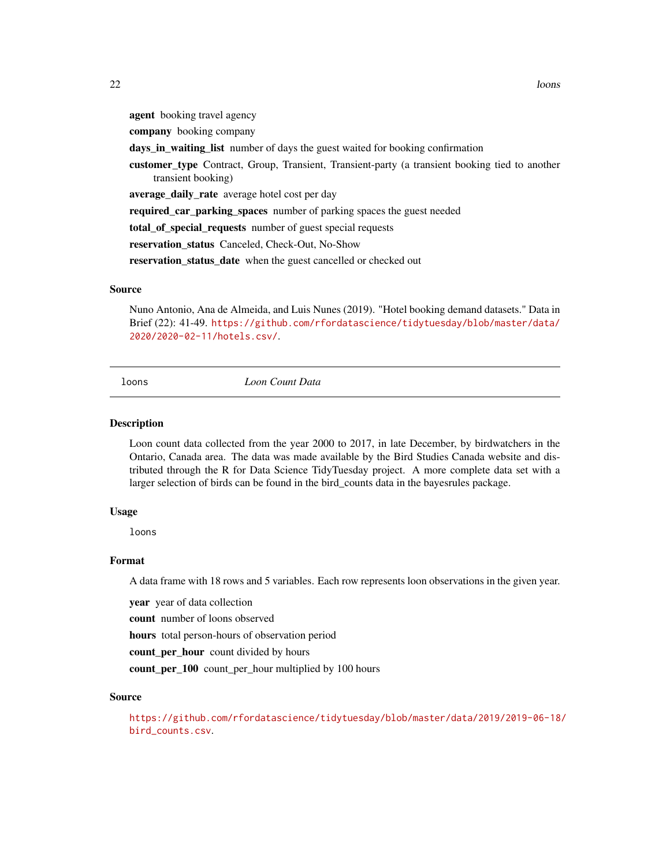<span id="page-21-0"></span>agent booking travel agency

company booking company

days\_in\_waiting\_list number of days the guest waited for booking confirmation

customer type Contract, Group, Transient, Transient-party (a transient booking tied to another transient booking)

average\_daily\_rate average hotel cost per day

required\_car\_parking\_spaces number of parking spaces the guest needed

total\_of\_special\_requests number of guest special requests

reservation\_status Canceled, Check-Out, No-Show

reservation\_status\_date when the guest cancelled or checked out

### Source

Nuno Antonio, Ana de Almeida, and Luis Nunes (2019). "Hotel booking demand datasets." Data in Brief (22): 41-49. [https://github.com/rfordatascience/tidytuesday/blob/master/data/](https://github.com/rfordatascience/tidytuesday/blob/master/data/2020/2020-02-11/hotels.csv/) [2020/2020-02-11/hotels.csv/](https://github.com/rfordatascience/tidytuesday/blob/master/data/2020/2020-02-11/hotels.csv/).

loons *Loon Count Data*

#### Description

Loon count data collected from the year 2000 to 2017, in late December, by birdwatchers in the Ontario, Canada area. The data was made available by the Bird Studies Canada website and distributed through the R for Data Science TidyTuesday project. A more complete data set with a larger selection of birds can be found in the bird\_counts data in the bayesrules package.

### Usage

loons

### Format

A data frame with 18 rows and 5 variables. Each row represents loon observations in the given year.

year year of data collection

count number of loons observed

hours total person-hours of observation period

count per hour count divided by hours

count\_per\_100 count\_per\_hour multiplied by 100 hours

### Source

[https://github.com/rfordatascience/tidytuesday/blob/master/data/2019/2019-06-18/](https://github.com/rfordatascience/tidytuesday/blob/master/data/2019/2019-06-18/bird_counts.csv) [bird\\_counts.csv](https://github.com/rfordatascience/tidytuesday/blob/master/data/2019/2019-06-18/bird_counts.csv).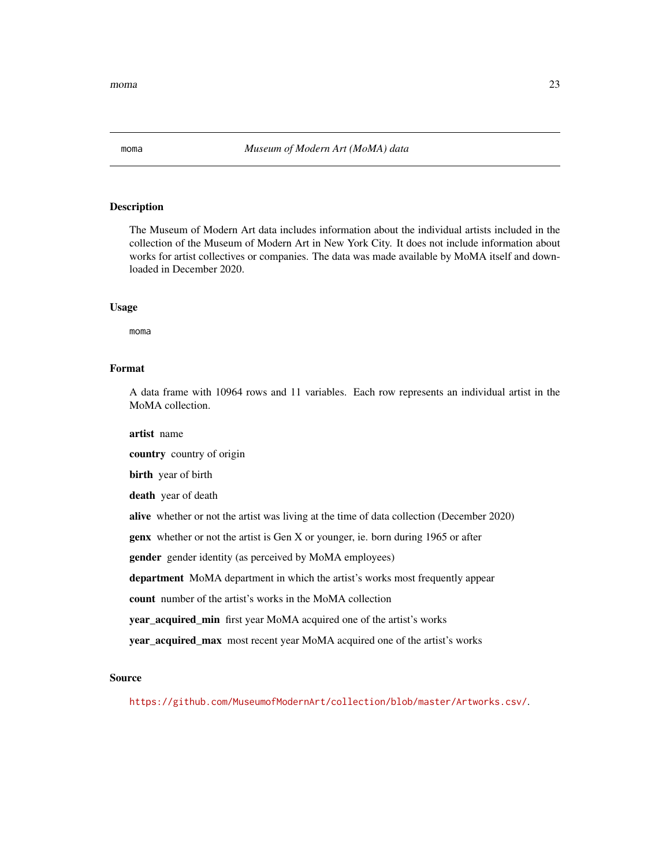<span id="page-22-0"></span>The Museum of Modern Art data includes information about the individual artists included in the collection of the Museum of Modern Art in New York City. It does not include information about works for artist collectives or companies. The data was made available by MoMA itself and downloaded in December 2020.

### Usage

moma

#### Format

A data frame with 10964 rows and 11 variables. Each row represents an individual artist in the MoMA collection.

artist name

country country of origin

birth year of birth

death year of death

alive whether or not the artist was living at the time of data collection (December 2020)

genx whether or not the artist is Gen X or younger, ie. born during 1965 or after

gender gender identity (as perceived by MoMA employees)

department MoMA department in which the artist's works most frequently appear

count number of the artist's works in the MoMA collection

year\_acquired\_min first year MoMA acquired one of the artist's works

year\_acquired\_max most recent year MoMA acquired one of the artist's works

#### Source

<https://github.com/MuseumofModernArt/collection/blob/master/Artworks.csv/>.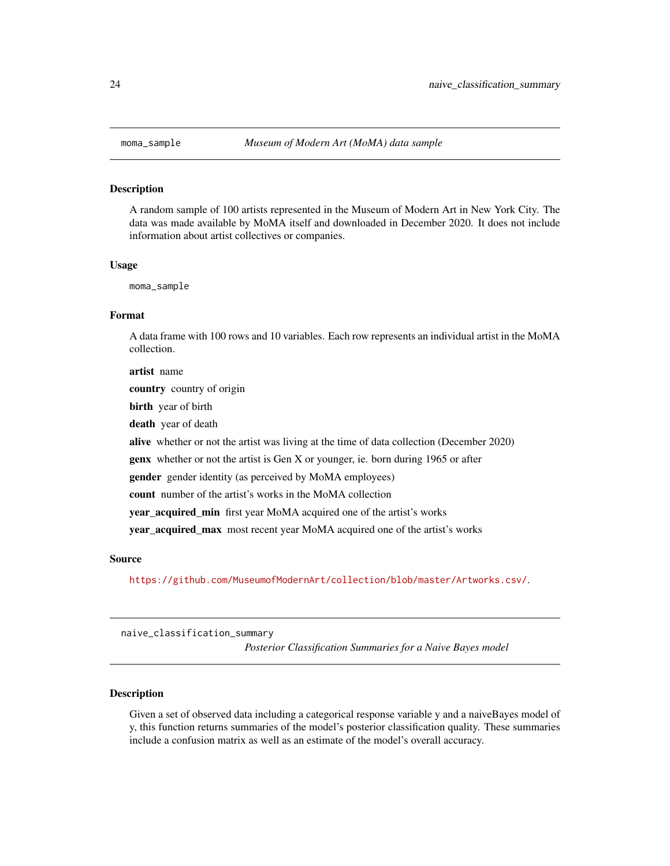<span id="page-23-0"></span>

A random sample of 100 artists represented in the Museum of Modern Art in New York City. The data was made available by MoMA itself and downloaded in December 2020. It does not include information about artist collectives or companies.

#### Usage

moma\_sample

### Format

A data frame with 100 rows and 10 variables. Each row represents an individual artist in the MoMA collection.

artist name country country of origin birth year of birth death year of death alive whether or not the artist was living at the time of data collection (December 2020) genx whether or not the artist is Gen X or younger, ie. born during 1965 or after gender gender identity (as perceived by MoMA employees) count number of the artist's works in the MoMA collection year\_acquired\_min first year MoMA acquired one of the artist's works year\_acquired\_max most recent year MoMA acquired one of the artist's works

### Source

<https://github.com/MuseumofModernArt/collection/blob/master/Artworks.csv/>.

naive\_classification\_summary

*Posterior Classification Summaries for a Naive Bayes model*

### Description

Given a set of observed data including a categorical response variable y and a naiveBayes model of y, this function returns summaries of the model's posterior classification quality. These summaries include a confusion matrix as well as an estimate of the model's overall accuracy.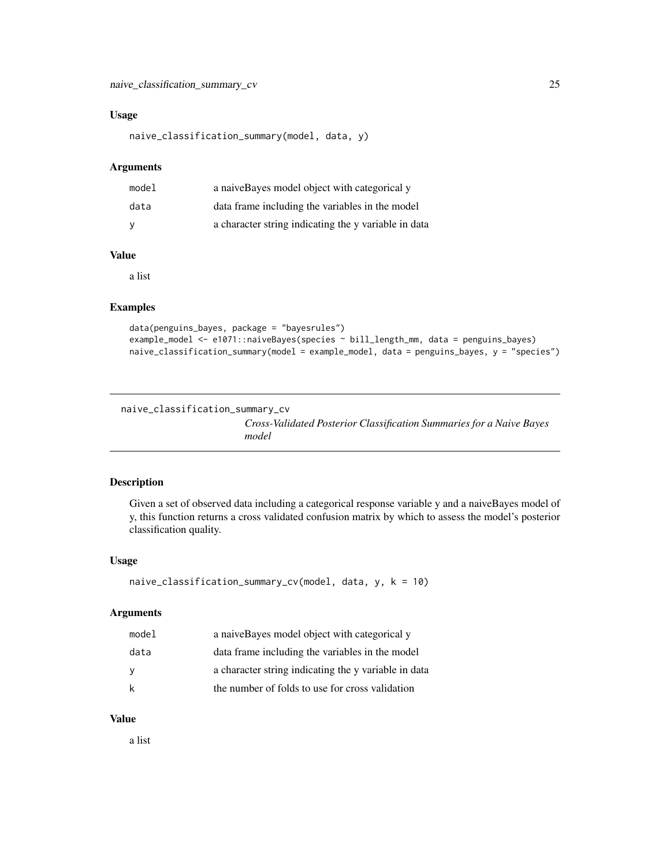### <span id="page-24-0"></span>Usage

```
naive_classification_summary(model, data, y)
```
### Arguments

| model | a naive Bayes model object with categorical y        |
|-------|------------------------------------------------------|
| data  | data frame including the variables in the model      |
| - V   | a character string indicating the y variable in data |

### Value

a list

### Examples

```
data(penguins_bayes, package = "bayesrules")
example_model <- e1071::naiveBayes(species ~ bill_length_mm, data = penguins_bayes)
naive_classification_summary(model = example_model, data = penguins_bayes, y = "species")
```

```
naive_classification_summary_cv
```
*Cross-Validated Posterior Classification Summaries for a Naive Bayes model*

### Description

Given a set of observed data including a categorical response variable y and a naiveBayes model of y, this function returns a cross validated confusion matrix by which to assess the model's posterior classification quality.

### Usage

```
naive_classification_summary_cv(model, data, y, k = 10)
```
### Arguments

| model | a naive Bayes model object with categorical y        |
|-------|------------------------------------------------------|
| data  | data frame including the variables in the model      |
| y     | a character string indicating the y variable in data |
| k     | the number of folds to use for cross validation      |

#### Value

a list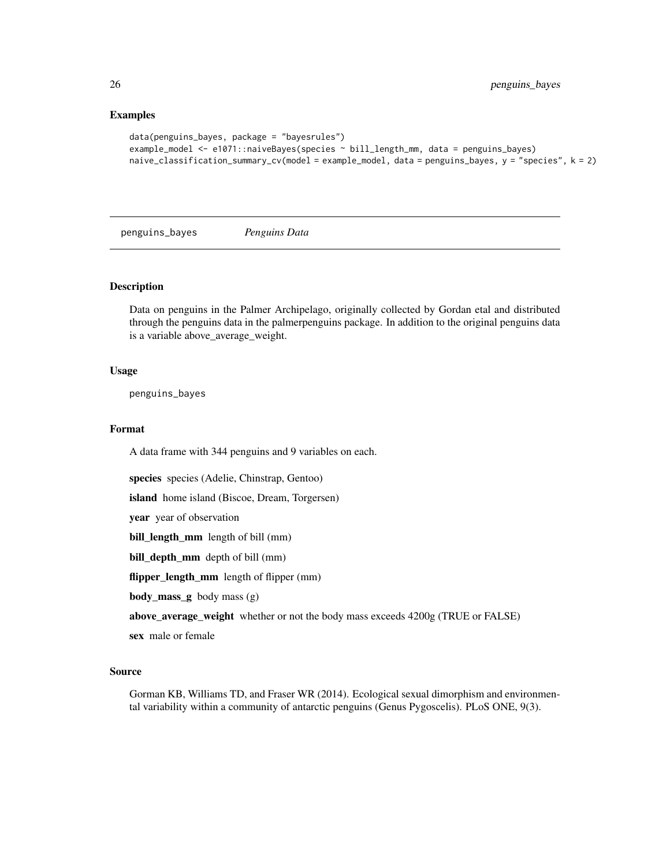### Examples

```
data(penguins_bayes, package = "bayesrules")
example_model <- e1071::naiveBayes(species ~ bill_length_mm, data = penguins_bayes)
naive_classification_summary_cv(model = example_model, data = penguins_bayes, y = "species", k = 2)
```
penguins\_bayes *Penguins Data*

#### Description

Data on penguins in the Palmer Archipelago, originally collected by Gordan etal and distributed through the penguins data in the palmerpenguins package. In addition to the original penguins data is a variable above\_average\_weight.

#### Usage

penguins\_bayes

### Format

A data frame with 344 penguins and 9 variables on each.

species species (Adelie, Chinstrap, Gentoo)

island home island (Biscoe, Dream, Torgersen)

year year of observation

bill\_length\_mm length of bill (mm)

bill\_depth\_mm depth of bill (mm)

flipper\_length\_mm length of flipper (mm)

body\_mass\_g body mass (g)

above\_average\_weight whether or not the body mass exceeds 4200g (TRUE or FALSE)

sex male or female

#### Source

Gorman KB, Williams TD, and Fraser WR (2014). Ecological sexual dimorphism and environmental variability within a community of antarctic penguins (Genus Pygoscelis). PLoS ONE, 9(3).

<span id="page-25-0"></span>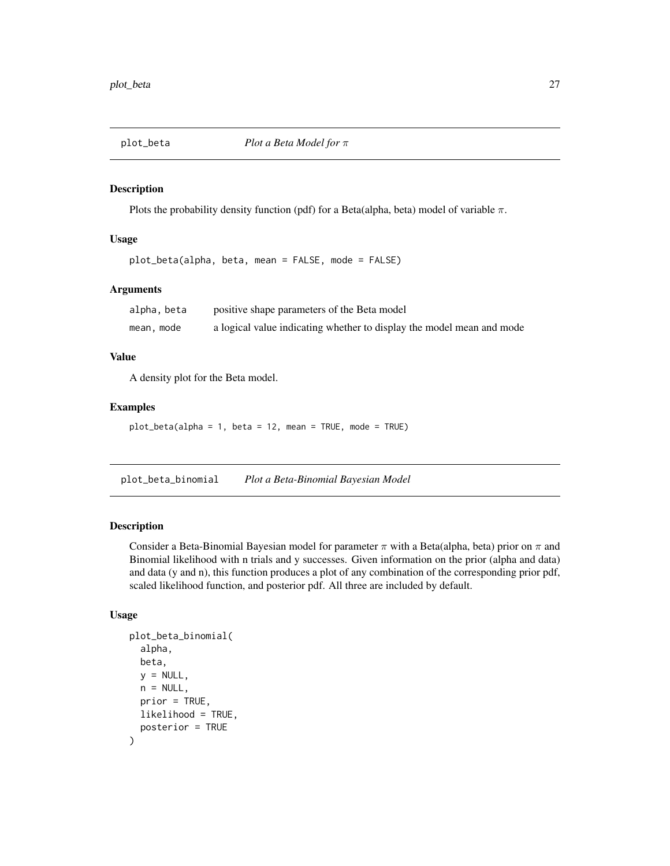<span id="page-26-0"></span>

Plots the probability density function (pdf) for a Beta(alpha, beta) model of variable  $\pi$ .

### Usage

plot\_beta(alpha, beta, mean = FALSE, mode = FALSE)

### Arguments

| alpha, beta | positive shape parameters of the Beta model                           |
|-------------|-----------------------------------------------------------------------|
| mean, mode  | a logical value indicating whether to display the model mean and mode |

#### Value

A density plot for the Beta model.

#### Examples

plot\_beta(alpha = 1, beta = 12, mean = TRUE, mode = TRUE)

plot\_beta\_binomial *Plot a Beta-Binomial Bayesian Model*

### Description

Consider a Beta-Binomial Bayesian model for parameter  $\pi$  with a Beta(alpha, beta) prior on  $\pi$  and Binomial likelihood with n trials and y successes. Given information on the prior (alpha and data) and data (y and n), this function produces a plot of any combination of the corresponding prior pdf, scaled likelihood function, and posterior pdf. All three are included by default.

### Usage

```
plot_beta_binomial(
  alpha,
  beta,
  y = NULL,
  n = NULL,prior = TRUE,
  likelihood = TRUE,
  posterior = TRUE
)
```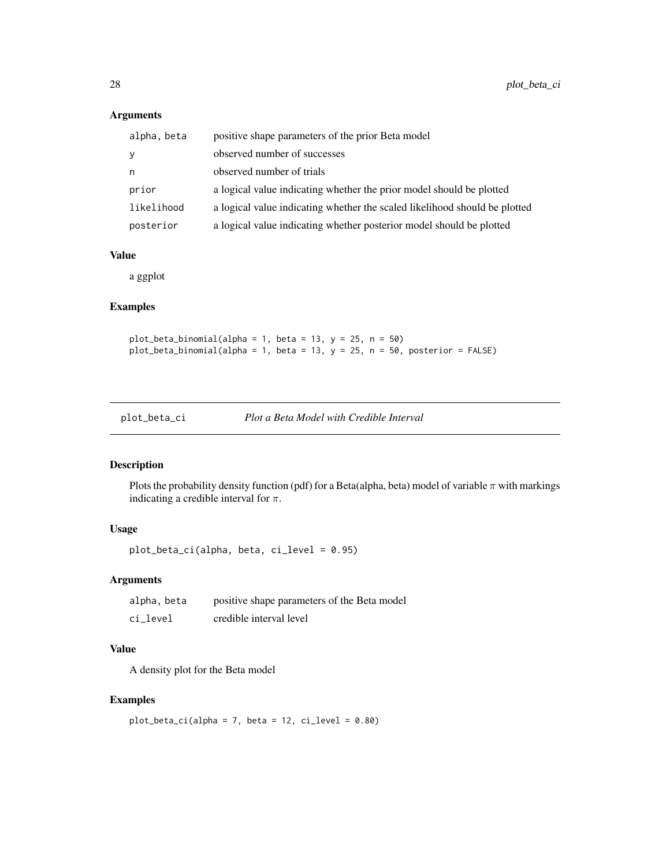### Arguments

| alpha, beta  | positive shape parameters of the prior Beta model                          |
|--------------|----------------------------------------------------------------------------|
| <sub>V</sub> | observed number of successes                                               |
| n            | observed number of trials                                                  |
| prior        | a logical value indicating whether the prior model should be plotted       |
| likelihood   | a logical value indicating whether the scaled likelihood should be plotted |
| posterior    | a logical value indicating whether posterior model should be plotted       |

### Value

a ggplot

### Examples

plot\_beta\_binomial(alpha = 1, beta = 13,  $y = 25$ ,  $n = 50$ ) plot\_beta\_binomial(alpha = 1, beta = 13,  $y = 25$ , n = 50, posterior = FALSE)

### Description

Plots the probability density function (pdf) for a Beta(alpha, beta) model of variable  $\pi$  with markings indicating a credible interval for  $\pi$ .

### Usage

plot\_beta\_ci(alpha, beta, ci\_level = 0.95)

### Arguments

| alpha, beta | positive shape parameters of the Beta model |
|-------------|---------------------------------------------|
| ci level    | credible interval level                     |

### Value

A density plot for the Beta model

### Examples

```
plot\_beta\_ci(alpha = 7, beta = 12, ci\_level = 0.80)
```
<span id="page-27-0"></span>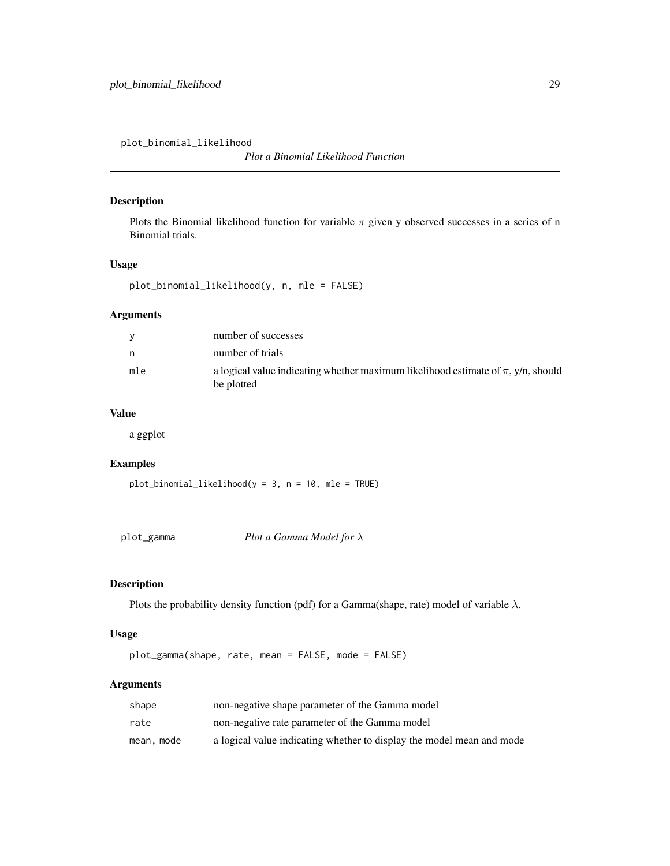<span id="page-28-0"></span>plot\_binomial\_likelihood

*Plot a Binomial Likelihood Function*

### Description

Plots the Binomial likelihood function for variable  $\pi$  given y observed successes in a series of n Binomial trials.

### Usage

plot\_binomial\_likelihood(y, n, mle = FALSE)

### Arguments

| <b>V</b> | number of successes                                                                                 |
|----------|-----------------------------------------------------------------------------------------------------|
| n.       | number of trials                                                                                    |
| mle      | a logical value indicating whether maximum likelihood estimate of $\pi$ , y/n, should<br>be plotted |

### Value

a ggplot

### Examples

plot\_binomial\_likelihood(y = 3, n = 10, mle = TRUE)

plot\_gamma *Plot a Gamma Model for* λ

## Description

Plots the probability density function (pdf) for a Gamma(shape, rate) model of variable  $\lambda$ .

### Usage

plot\_gamma(shape, rate, mean = FALSE, mode = FALSE)

### Arguments

| shape      | non-negative shape parameter of the Gamma model                       |
|------------|-----------------------------------------------------------------------|
| rate       | non-negative rate parameter of the Gamma model                        |
| mean, mode | a logical value indicating whether to display the model mean and mode |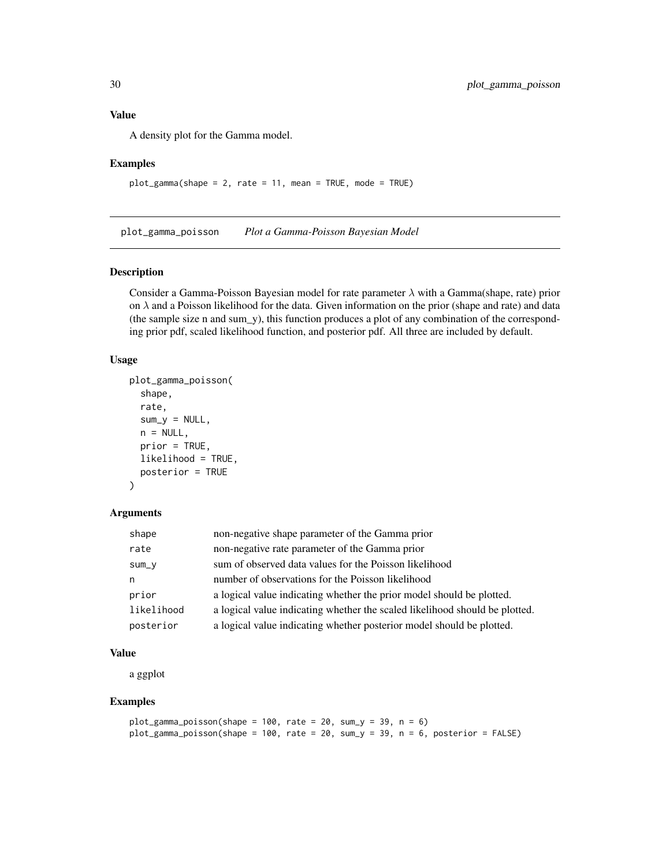<span id="page-29-0"></span>A density plot for the Gamma model.

### Examples

plot\_gamma(shape = 2, rate = 11, mean = TRUE, mode = TRUE)

plot\_gamma\_poisson *Plot a Gamma-Poisson Bayesian Model*

### Description

Consider a Gamma-Poisson Bayesian model for rate parameter  $\lambda$  with a Gamma(shape, rate) prior on  $\lambda$  and a Poisson likelihood for the data. Given information on the prior (shape and rate) and data (the sample size n and sum\_y), this function produces a plot of any combination of the corresponding prior pdf, scaled likelihood function, and posterior pdf. All three are included by default.

### Usage

```
plot_gamma_poisson(
  shape,
  rate,
  sum_y = NULL,n = NULL,prior = TRUE,
  likelihood = TRUE,
  posterior = TRUE
```
### )

#### Arguments

| shape      | non-negative shape parameter of the Gamma prior                             |
|------------|-----------------------------------------------------------------------------|
| rate       | non-negative rate parameter of the Gamma prior                              |
| $sum_y$    | sum of observed data values for the Poisson likelihood                      |
| n          | number of observations for the Poisson likelihood                           |
| prior      | a logical value indicating whether the prior model should be plotted.       |
| likelihood | a logical value indicating whether the scaled likelihood should be plotted. |
| posterior  | a logical value indicating whether posterior model should be plotted.       |

### Value

a ggplot

#### Examples

```
plot_gamma_poisson(shape = 100, rate = 20, sum_y = 39, n = 6)
plot_gamma_poisson(shape = 100, rate = 20, sum_y = 39, n = 6, posterior = FALSE)
```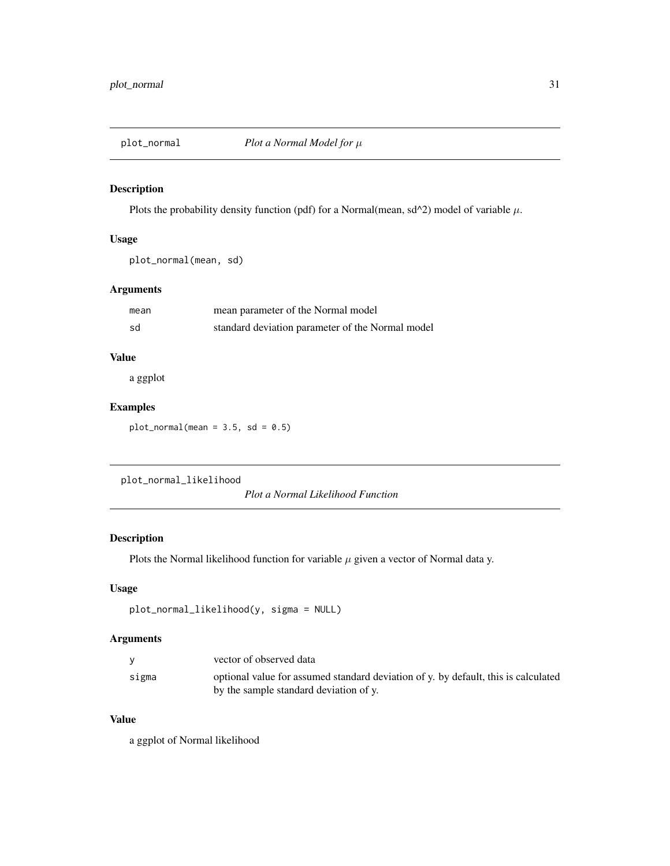<span id="page-30-0"></span>

Plots the probability density function (pdf) for a Normal(mean, sd^2) model of variable  $\mu$ .

### Usage

```
plot_normal(mean, sd)
```
### Arguments

| mean | mean parameter of the Normal model               |
|------|--------------------------------------------------|
| sd   | standard deviation parameter of the Normal model |

### Value

a ggplot

### Examples

 $plot\_normal(mean = 3.5, sd = 0.5)$ 

plot\_normal\_likelihood

*Plot a Normal Likelihood Function*

### Description

Plots the Normal likelihood function for variable  $\mu$  given a vector of Normal data y.

### Usage

```
plot_normal_likelihood(y, sigma = NULL)
```
### Arguments

|       | vector of observed data                                                            |
|-------|------------------------------------------------------------------------------------|
| sigma | optional value for assumed standard deviation of y. by default, this is calculated |
|       | by the sample standard deviation of y.                                             |

### Value

a ggplot of Normal likelihood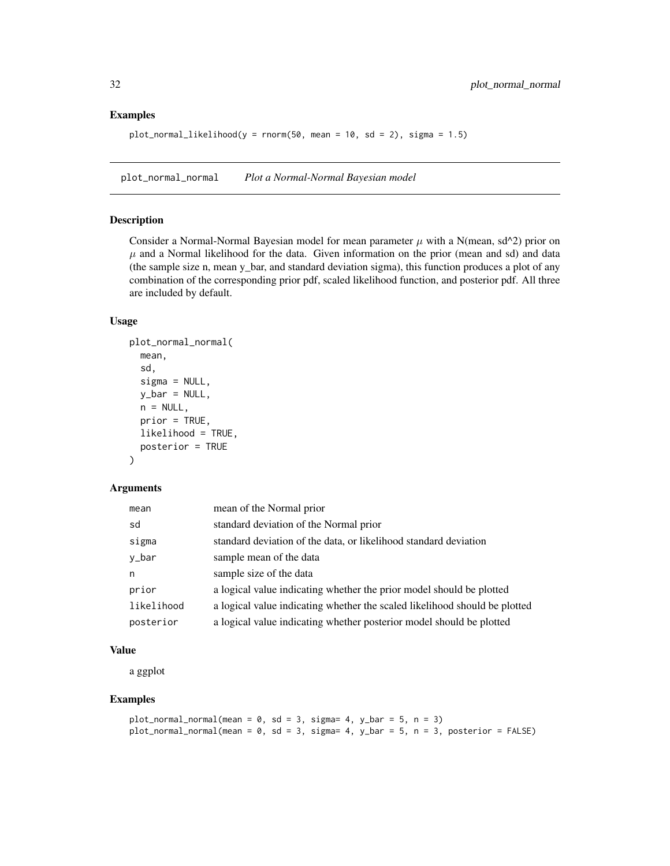### Examples

```
plot\_normal\_likelihood(y = rnorm(50, mean = 10, sd = 2), sigma = 1.5)
```
plot\_normal\_normal *Plot a Normal-Normal Bayesian model*

### Description

Consider a Normal-Normal Bayesian model for mean parameter  $\mu$  with a N(mean, sd^2) prior on  $\mu$  and a Normal likelihood for the data. Given information on the prior (mean and sd) and data (the sample size n, mean y\_bar, and standard deviation sigma), this function produces a plot of any combination of the corresponding prior pdf, scaled likelihood function, and posterior pdf. All three are included by default.

### Usage

```
plot_normal_normal(
  mean,
  sd,
  signa = NULL,y_bar = NULL,
  n = NULL,prior = TRUE,
  likelihood = TRUE,
  posterior = TRUE
)
```
### Arguments

| mean       | mean of the Normal prior                                                   |
|------------|----------------------------------------------------------------------------|
| sd         | standard deviation of the Normal prior                                     |
| sigma      | standard deviation of the data, or likelihood standard deviation           |
| y_bar      | sample mean of the data                                                    |
| n          | sample size of the data                                                    |
| prior      | a logical value indicating whether the prior model should be plotted       |
| likelihood | a logical value indicating whether the scaled likelihood should be plotted |
| posterior  | a logical value indicating whether posterior model should be plotted       |

### Value

a ggplot

### Examples

```
plot_normal_normal(mean = 0, sd = 3, sigma= 4, y_bar = 5, n = 3)
plot_normal_normal(mean = 0, sd = 3, sigma= 4, y_bar = 5, n = 3, posterior = FALSE)
```
<span id="page-31-0"></span>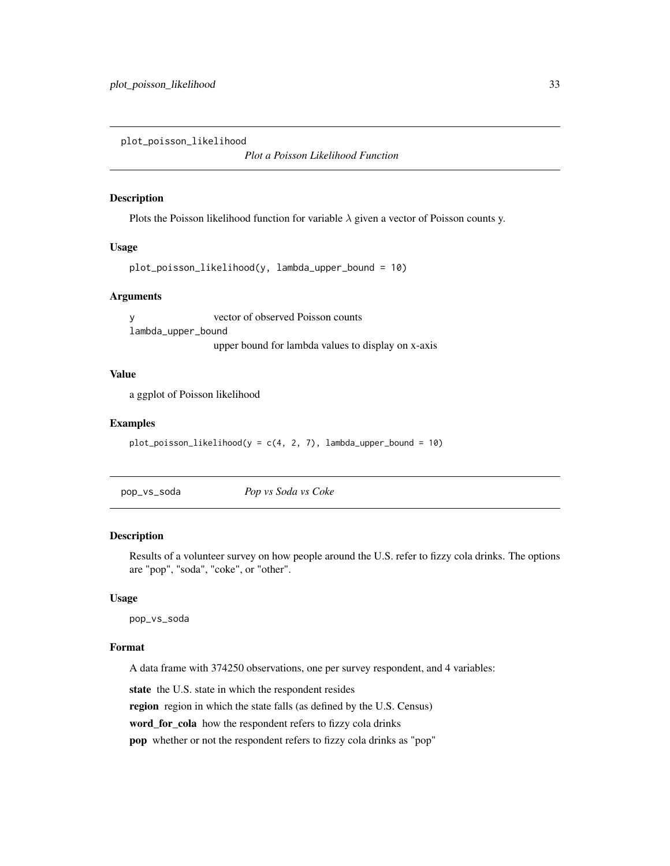<span id="page-32-0"></span>plot\_poisson\_likelihood

*Plot a Poisson Likelihood Function*

### Description

Plots the Poisson likelihood function for variable  $\lambda$  given a vector of Poisson counts y.

### Usage

```
plot_poisson_likelihood(y, lambda_upper_bound = 10)
```
#### Arguments

y vector of observed Poisson counts lambda\_upper\_bound upper bound for lambda values to display on x-axis

### Value

a ggplot of Poisson likelihood

### Examples

```
plot\_poisson\_likelihood(y = c(4, 2, 7), lambda\_upper\_bound = 10)
```
pop\_vs\_soda *Pop vs Soda vs Coke*

### Description

Results of a volunteer survey on how people around the U.S. refer to fizzy cola drinks. The options are "pop", "soda", "coke", or "other".

#### Usage

pop\_vs\_soda

### Format

A data frame with 374250 observations, one per survey respondent, and 4 variables:

state the U.S. state in which the respondent resides

region region in which the state falls (as defined by the U.S. Census)

word\_for\_cola how the respondent refers to fizzy cola drinks

pop whether or not the respondent refers to fizzy cola drinks as "pop"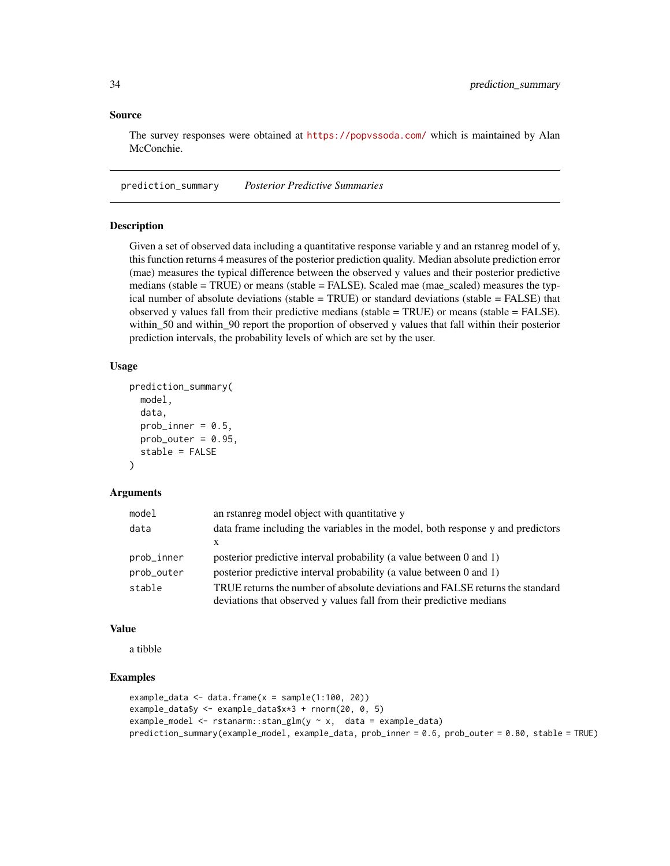### <span id="page-33-0"></span>Source

The survey responses were obtained at <https://popvssoda.com/> which is maintained by Alan McConchie.

prediction\_summary *Posterior Predictive Summaries*

### **Description**

Given a set of observed data including a quantitative response variable y and an rstanreg model of y, this function returns 4 measures of the posterior prediction quality. Median absolute prediction error (mae) measures the typical difference between the observed y values and their posterior predictive medians (stable = TRUE) or means (stable = FALSE). Scaled mae (mae\_scaled) measures the typical number of absolute deviations (stable = TRUE) or standard deviations (stable = FALSE) that observed y values fall from their predictive medians (stable = TRUE) or means (stable = FALSE). within\_50 and within\_90 report the proportion of observed y values that fall within their posterior prediction intervals, the probability levels of which are set by the user.

### Usage

```
prediction_summary(
  model,
  data,
  prob_inner = 0.5,
  prob_outer = 0.95,
  stable = FALSE
)
```
#### Arguments

| model      | an real model object with quantitative y                                        |
|------------|---------------------------------------------------------------------------------|
| data       | data frame including the variables in the model, both response y and predictors |
|            | X                                                                               |
| prob_inner | posterior predictive interval probability (a value between 0 and 1)             |
| prob_outer | posterior predictive interval probability (a value between 0 and 1)             |
| stable     | TRUE returns the number of absolute deviations and FALSE returns the standard   |
|            | deviations that observed y values fall from their predictive medians            |

#### Value

a tibble

### Examples

```
example_data <- data.frame(x = sample(1:100, 20))example_data$y <- example_data$x*3 + rnorm(20, 0, 5)
example_model <- rstanarm::stan_glm(y ~ x, data = example_data)
prediction_summary(example_model, example_data, prob_inner = 0.6, prob_outer = 0.80, stable = TRUE)
```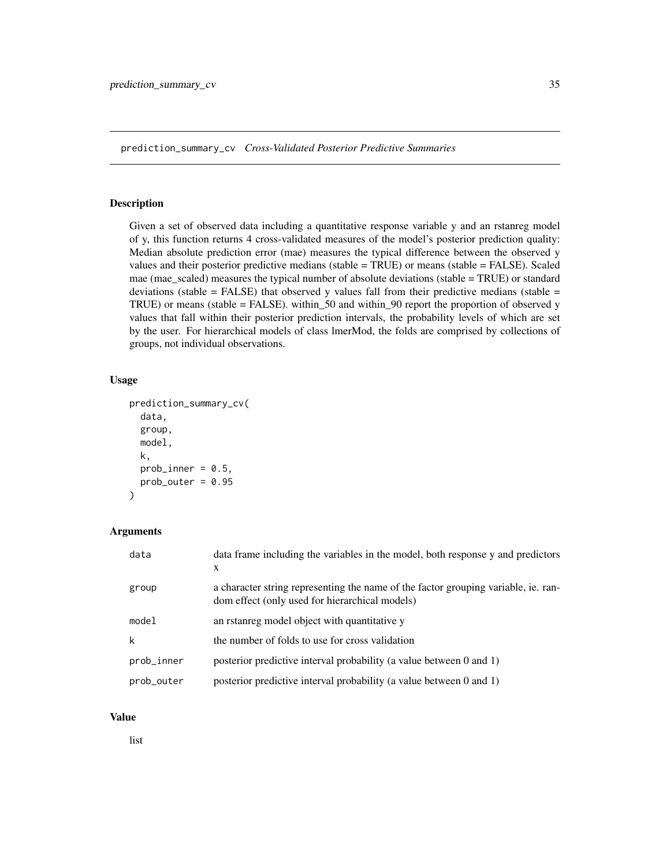<span id="page-34-0"></span>prediction\_summary\_cv *Cross-Validated Posterior Predictive Summaries*

#### Description

Given a set of observed data including a quantitative response variable y and an rstanreg model of y, this function returns 4 cross-validated measures of the model's posterior prediction quality: Median absolute prediction error (mae) measures the typical difference between the observed y values and their posterior predictive medians (stable = TRUE) or means (stable = FALSE). Scaled mae (mae\_scaled) measures the typical number of absolute deviations (stable = TRUE) or standard deviations (stable = FALSE) that observed y values fall from their predictive medians (stable = TRUE) or means (stable = FALSE). within\_50 and within\_90 report the proportion of observed y values that fall within their posterior prediction intervals, the probability levels of which are set by the user. For hierarchical models of class lmerMod, the folds are comprised by collections of groups, not individual observations.

### Usage

```
prediction_summary_cv(
  data,
  group,
  model,
  k,
  prob_inner = 0.5,
  prob_outer = 0.95)
```
### Arguments

| data       | data frame including the variables in the model, both response y and predictors<br>X                                                 |
|------------|--------------------------------------------------------------------------------------------------------------------------------------|
| group      | a character string representing the name of the factor grouping variable, ie. ran-<br>dom effect (only used for hierarchical models) |
| model      | an rstanreg model object with quantitative y                                                                                         |
| k          | the number of folds to use for cross validation                                                                                      |
| prob_inner | posterior predictive interval probability (a value between 0 and 1)                                                                  |
| prob_outer | posterior predictive interval probability (a value between 0 and 1)                                                                  |

### Value

list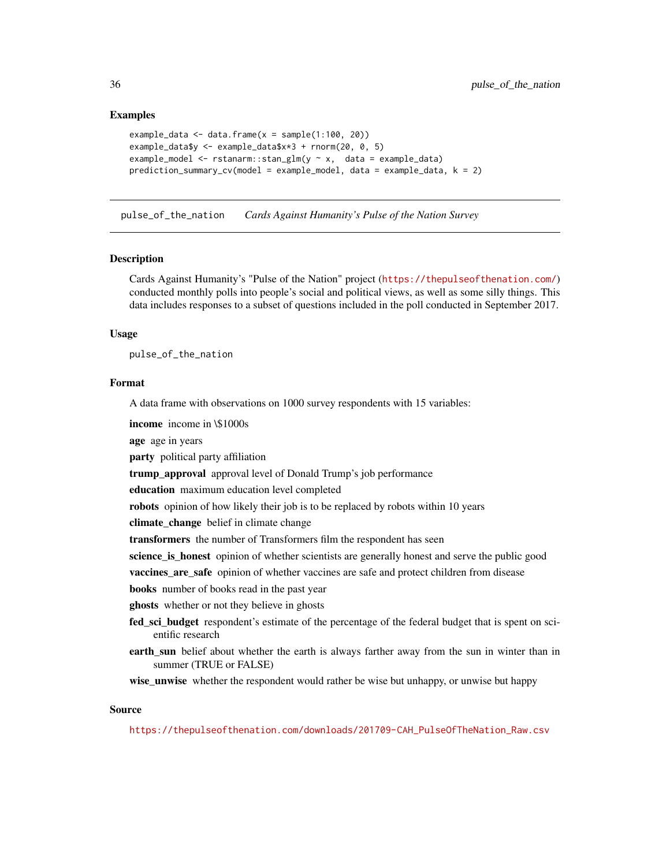### Examples

```
example_data \leq data.frame(x =sample(1:100, 20))
example_data$y <- example_data$x*3 + rnorm(20, 0, 5)
example_model <- rstanarm::stan_glm(y ~ x, data = example_data)
prediction_summary_cv(model = example_model, data = example_data, k = 2)
```
pulse\_of\_the\_nation *Cards Against Humanity's Pulse of the Nation Survey*

#### Description

Cards Against Humanity's "Pulse of the Nation" project (<https://thepulseofthenation.com/>) conducted monthly polls into people's social and political views, as well as some silly things. This data includes responses to a subset of questions included in the poll conducted in September 2017.

#### Usage

pulse\_of\_the\_nation

### Format

A data frame with observations on 1000 survey respondents with 15 variables:

income income in \\$1000s

age age in years

party political party affiliation

trump\_approval approval level of Donald Trump's job performance

education maximum education level completed

robots opinion of how likely their job is to be replaced by robots within 10 years

climate\_change belief in climate change

transformers the number of Transformers film the respondent has seen

science\_is\_honest opinion of whether scientists are generally honest and serve the public good

vaccines\_are\_safe opinion of whether vaccines are safe and protect children from disease

books number of books read in the past year

ghosts whether or not they believe in ghosts

- fed\_sci\_budget respondent's estimate of the percentage of the federal budget that is spent on scientific research
- earth\_sun belief about whether the earth is always farther away from the sun in winter than in summer (TRUE or FALSE)

wise\_unwise whether the respondent would rather be wise but unhappy, or unwise but happy

### Source

[https://thepulseofthenation.com/downloads/201709-CAH\\_PulseOfTheNation\\_Raw.csv](https://thepulseofthenation.com/downloads/201709-CAH_PulseOfTheNation_Raw.csv)

<span id="page-35-0"></span>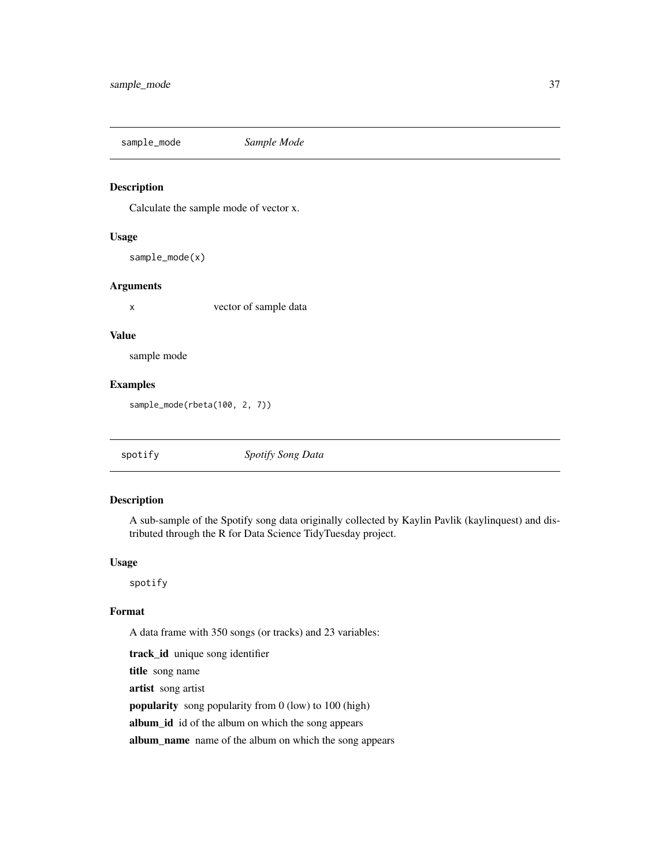<span id="page-36-0"></span>sample\_mode *Sample Mode*

### Description

Calculate the sample mode of vector x.

#### Usage

sample\_mode(x)

### Arguments

x vector of sample data

#### Value

sample mode

### Examples

sample\_mode(rbeta(100, 2, 7))

| Spotify Song Data<br>spotify |
|------------------------------|
|------------------------------|

### Description

A sub-sample of the Spotify song data originally collected by Kaylin Pavlik (kaylinquest) and distributed through the R for Data Science TidyTuesday project.

#### Usage

spotify

### Format

A data frame with 350 songs (or tracks) and 23 variables:

track\_id unique song identifier title song name artist song artist popularity song popularity from 0 (low) to 100 (high) album\_id id of the album on which the song appears album\_name name of the album on which the song appears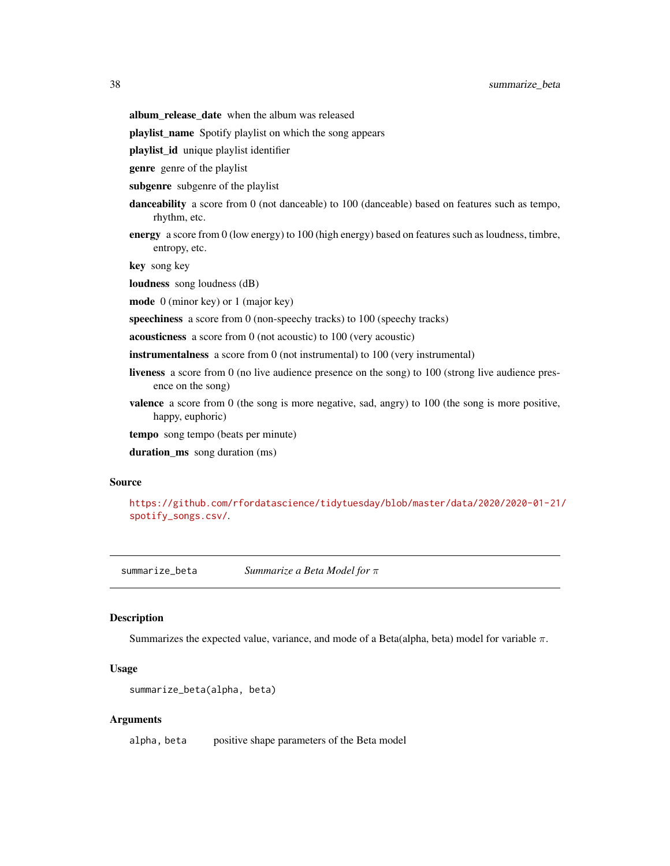- <span id="page-37-0"></span>album\_release\_date when the album was released
- playlist\_name Spotify playlist on which the song appears
- playlist\_id unique playlist identifier
- genre genre of the playlist
- subgenre subgenre of the playlist
- danceability a score from 0 (not danceable) to 100 (danceable) based on features such as tempo, rhythm, etc.
- energy a score from 0 (low energy) to 100 (high energy) based on features such as loudness, timbre, entropy, etc.

key song key

- loudness song loudness (dB)
- mode 0 (minor key) or 1 (major key)
- speechiness a score from 0 (non-speechy tracks) to 100 (speechy tracks)
- acousticness a score from 0 (not acoustic) to 100 (very acoustic)
- instrumentalness a score from 0 (not instrumental) to 100 (very instrumental)
- liveness a score from 0 (no live audience presence on the song) to 100 (strong live audience presence on the song)
- valence a score from 0 (the song is more negative, sad, angry) to 100 (the song is more positive, happy, euphoric)
- tempo song tempo (beats per minute)
- duration\_ms song duration (ms)

#### Source

```
https://github.com/rfordatascience/tidytuesday/blob/master/data/2020/2020-01-21/
spotify_songs.csv/.
```
summarize\_beta *Summarize a Beta Model for* π

### Description

Summarizes the expected value, variance, and mode of a Beta(alpha, beta) model for variable  $\pi$ .

### Usage

```
summarize_beta(alpha, beta)
```
### Arguments

alpha, beta positive shape parameters of the Beta model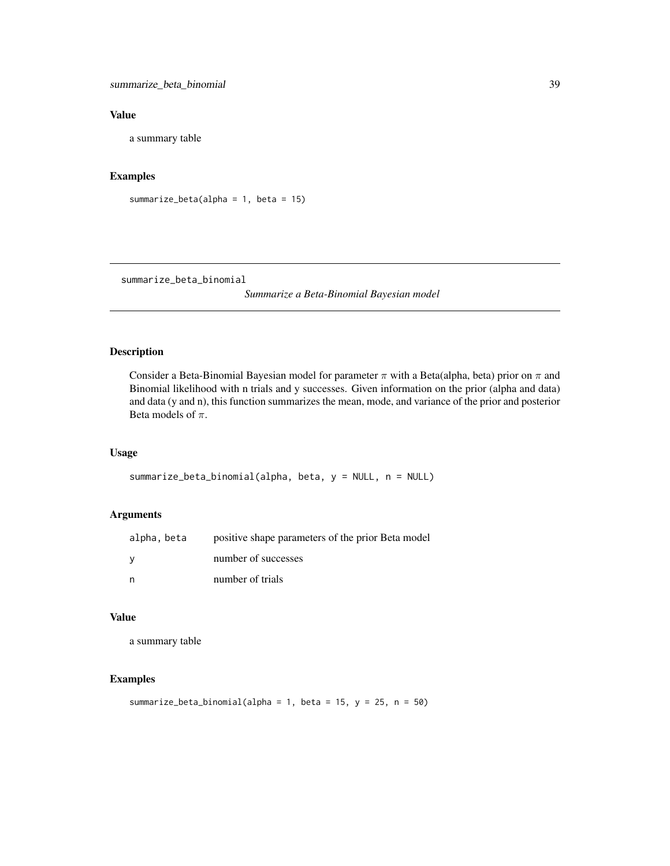<span id="page-38-0"></span>summarize\_beta\_binomial 39

### Value

a summary table

### Examples

```
summarize_beta(alpha = 1, beta = 15)
```
summarize\_beta\_binomial

*Summarize a Beta-Binomial Bayesian model*

### Description

Consider a Beta-Binomial Bayesian model for parameter  $\pi$  with a Beta(alpha, beta) prior on  $\pi$  and Binomial likelihood with n trials and y successes. Given information on the prior (alpha and data) and data (y and n), this function summarizes the mean, mode, and variance of the prior and posterior Beta models of  $\pi$ .

### Usage

```
summarize_beta_binomial(alpha, beta, y = NULL, n = NULL)
```
### Arguments

| alpha, beta | positive shape parameters of the prior Beta model |
|-------------|---------------------------------------------------|
| v           | number of successes                               |
| n           | number of trials                                  |

### Value

a summary table

### Examples

```
summarize_beta_binomial(alpha = 1, beta = 15, y = 25, n = 50)
```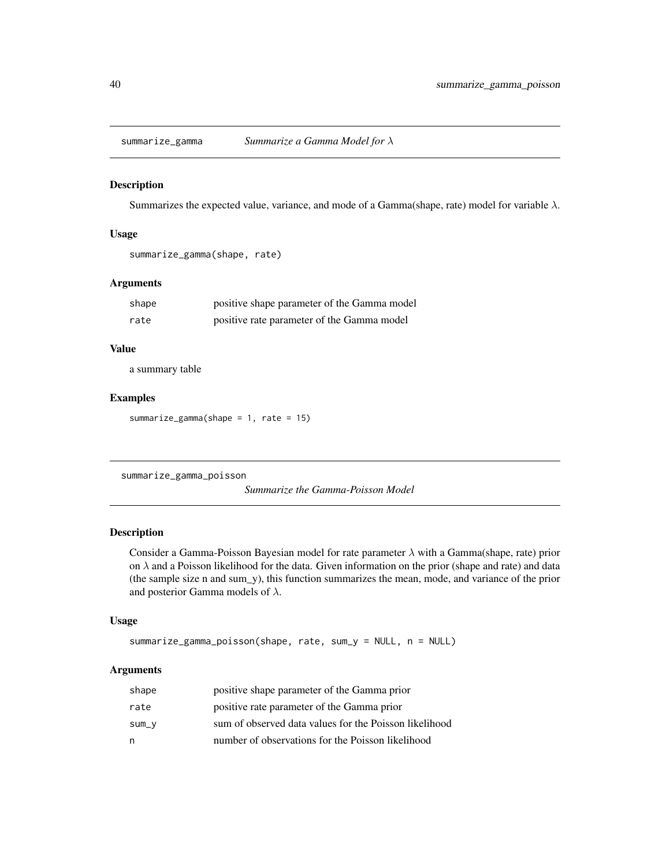<span id="page-39-0"></span>

Summarizes the expected value, variance, and mode of a Gamma(shape, rate) model for variable  $\lambda$ .

### Usage

summarize\_gamma(shape, rate)

### Arguments

| shape | positive shape parameter of the Gamma model |
|-------|---------------------------------------------|
| rate  | positive rate parameter of the Gamma model  |

#### Value

a summary table

#### Examples

summarize\_gamma(shape = 1, rate = 15)

summarize\_gamma\_poisson

*Summarize the Gamma-Poisson Model*

### Description

Consider a Gamma-Poisson Bayesian model for rate parameter  $\lambda$  with a Gamma(shape, rate) prior on  $\lambda$  and a Poisson likelihood for the data. Given information on the prior (shape and rate) and data (the sample size n and sum\_y), this function summarizes the mean, mode, and variance of the prior and posterior Gamma models of  $\lambda$ .

#### Usage

```
summarize_gamma_poisson(shape, rate, sum_y = NULL, n = NULL)
```
#### Arguments

| shape | positive shape parameter of the Gamma prior            |
|-------|--------------------------------------------------------|
| rate  | positive rate parameter of the Gamma prior             |
| SUM_V | sum of observed data values for the Poisson likelihood |
| n     | number of observations for the Poisson likelihood      |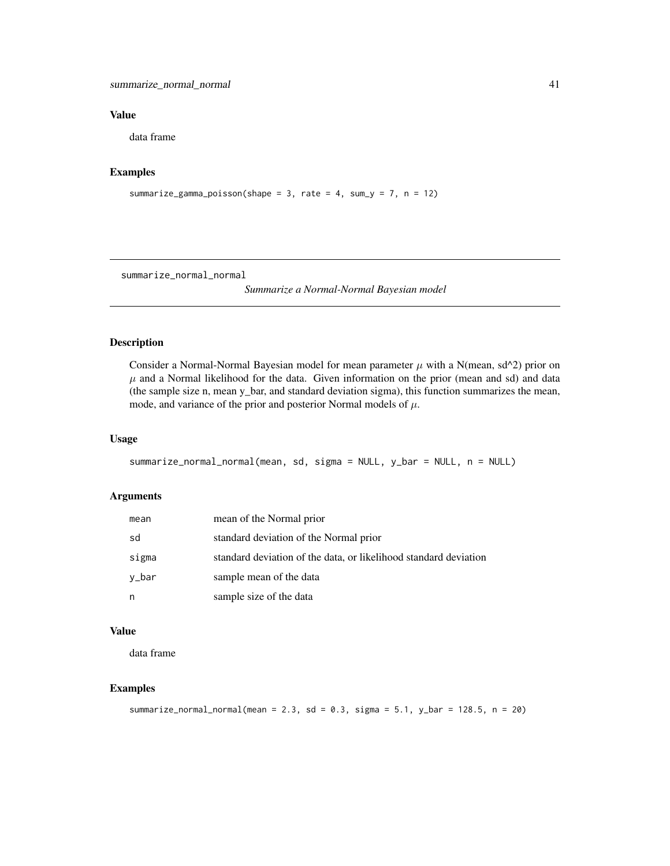### <span id="page-40-0"></span>Value

data frame

### Examples

```
summarize_gamma_poisson(shape = 3, rate = 4, sum_y = 7, n = 12)
```
summarize\_normal\_normal

*Summarize a Normal-Normal Bayesian model*

### Description

Consider a Normal-Normal Bayesian model for mean parameter  $\mu$  with a N(mean, sd^2) prior on  $\mu$  and a Normal likelihood for the data. Given information on the prior (mean and sd) and data (the sample size n, mean y\_bar, and standard deviation sigma), this function summarizes the mean, mode, and variance of the prior and posterior Normal models of  $\mu$ .

### Usage

```
summarize_normal_normal(mean, sd, sigma = NULL, y_bar = NULL, n = NULL)
```
### Arguments

| mean  | mean of the Normal prior                                         |
|-------|------------------------------------------------------------------|
| sd    | standard deviation of the Normal prior                           |
| sigma | standard deviation of the data, or likelihood standard deviation |
| y_bar | sample mean of the data                                          |
| n     | sample size of the data                                          |

### Value

data frame

### Examples

```
summarize_normal_normal(mean = 2.3, sd = 0.3, sigma = 5.1, y_bar = 128.5, n = 20)
```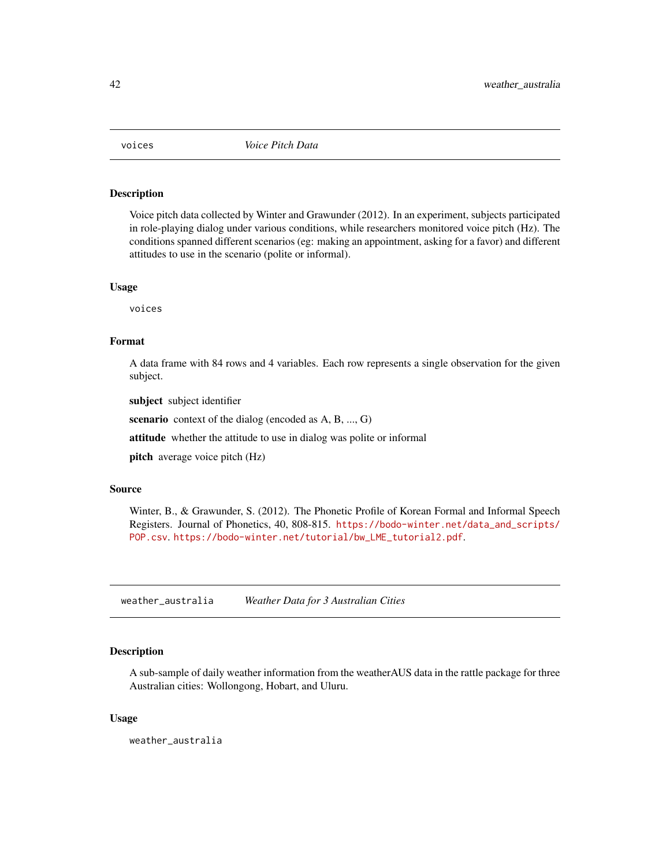<span id="page-41-0"></span>

Voice pitch data collected by Winter and Grawunder (2012). In an experiment, subjects participated in role-playing dialog under various conditions, while researchers monitored voice pitch (Hz). The conditions spanned different scenarios (eg: making an appointment, asking for a favor) and different attitudes to use in the scenario (polite or informal).

#### Usage

voices

### Format

A data frame with 84 rows and 4 variables. Each row represents a single observation for the given subject.

subject subject identifier

scenario context of the dialog (encoded as A, B, ..., G)

attitude whether the attitude to use in dialog was polite or informal

pitch average voice pitch (Hz)

### Source

Winter, B., & Grawunder, S. (2012). The Phonetic Profile of Korean Formal and Informal Speech Registers. Journal of Phonetics, 40, 808-815. [https://bodo-winter.net/data\\_and\\_scripts/](https://bodo-winter.net/data_and_scripts/POP.csv) [POP.csv](https://bodo-winter.net/data_and_scripts/POP.csv). [https://bodo-winter.net/tutorial/bw\\_LME\\_tutorial2.pdf](https://bodo-winter.net/tutorial/bw_LME_tutorial2.pdf).

weather\_australia *Weather Data for 3 Australian Cities*

### Description

A sub-sample of daily weather information from the weatherAUS data in the rattle package for three Australian cities: Wollongong, Hobart, and Uluru.

### Usage

weather\_australia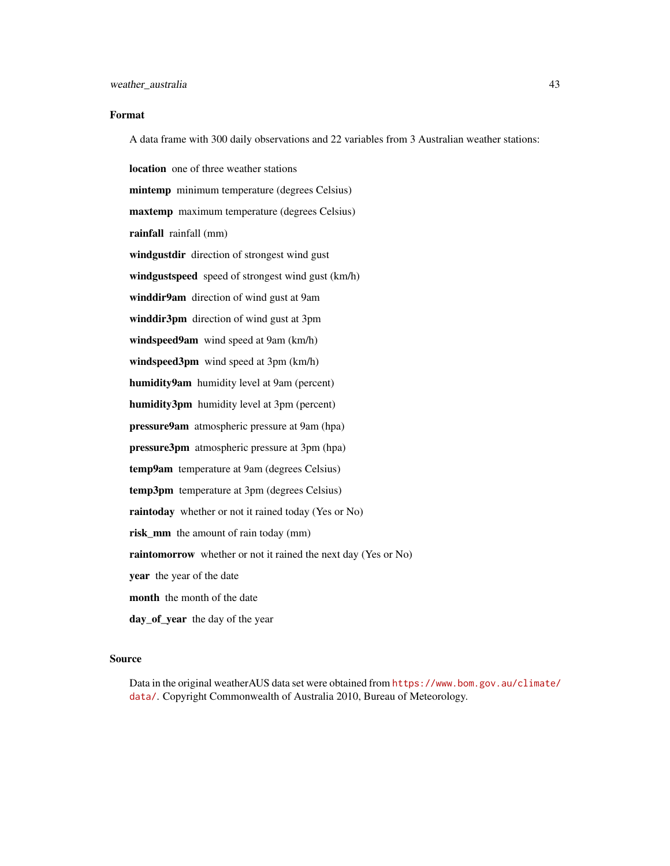### Format

A data frame with 300 daily observations and 22 variables from 3 Australian weather stations:

location one of three weather stations mintemp minimum temperature (degrees Celsius) maxtemp maximum temperature (degrees Celsius) rainfall rainfall (mm) windgustdir direction of strongest wind gust windgustspeed speed of strongest wind gust (km/h) winddir9am direction of wind gust at 9am winddir3pm direction of wind gust at 3pm windspeed9am wind speed at 9am (km/h) windspeed3pm wind speed at 3pm (km/h) humidity9am humidity level at 9am (percent) humidity3pm humidity level at 3pm (percent) pressure9am atmospheric pressure at 9am (hpa) pressure3pm atmospheric pressure at 3pm (hpa) temp9am temperature at 9am (degrees Celsius) temp3pm temperature at 3pm (degrees Celsius) raintoday whether or not it rained today (Yes or No) risk\_mm the amount of rain today (mm) raintomorrow whether or not it rained the next day (Yes or No) year the year of the date month the month of the date day\_of\_year the day of the year

#### Source

Data in the original weatherAUS data set were obtained from [https://www.bom.gov.au/climate/](https://www.bom.gov.au/climate/data/) [data/](https://www.bom.gov.au/climate/data/). Copyright Commonwealth of Australia 2010, Bureau of Meteorology.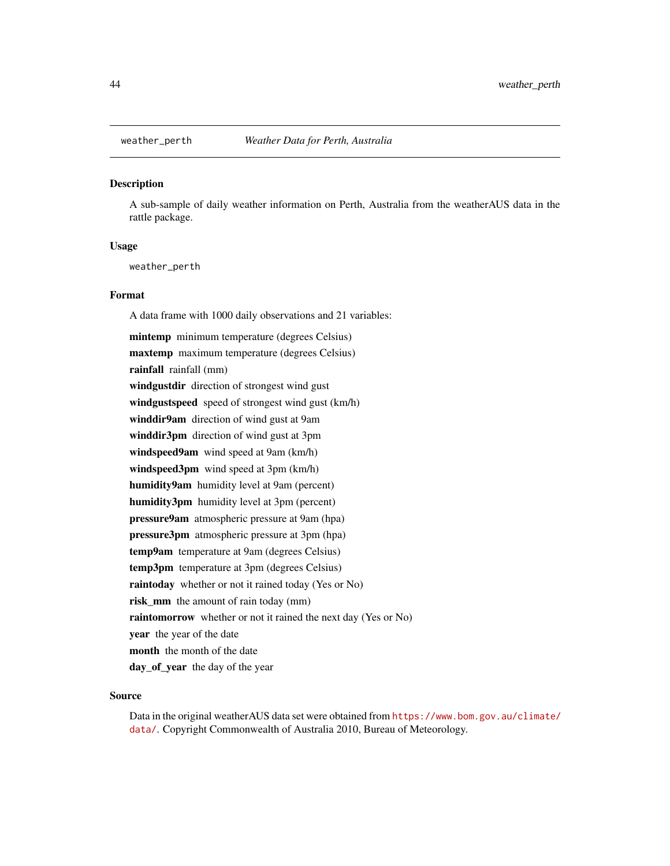<span id="page-43-0"></span>

A sub-sample of daily weather information on Perth, Australia from the weatherAUS data in the rattle package.

### Usage

weather\_perth

### Format

A data frame with 1000 daily observations and 21 variables:

mintemp minimum temperature (degrees Celsius) maxtemp maximum temperature (degrees Celsius) rainfall rainfall (mm) windgustdir direction of strongest wind gust windgustspeed speed of strongest wind gust (km/h) winddir9am direction of wind gust at 9am winddir3pm direction of wind gust at 3pm windspeed9am wind speed at 9am (km/h) windspeed3pm wind speed at 3pm (km/h) humidity9am humidity level at 9am (percent) humidity3pm humidity level at 3pm (percent) pressure9am atmospheric pressure at 9am (hpa) pressure3pm atmospheric pressure at 3pm (hpa) temp9am temperature at 9am (degrees Celsius) temp3pm temperature at 3pm (degrees Celsius) raintoday whether or not it rained today (Yes or No) risk\_mm the amount of rain today (mm) raintomorrow whether or not it rained the next day (Yes or No) year the year of the date month the month of the date day\_of\_year the day of the year

#### Source

Data in the original weatherAUS data set were obtained from [https://www.bom.gov.au/climate/](https://www.bom.gov.au/climate/data/) [data/](https://www.bom.gov.au/climate/data/). Copyright Commonwealth of Australia 2010, Bureau of Meteorology.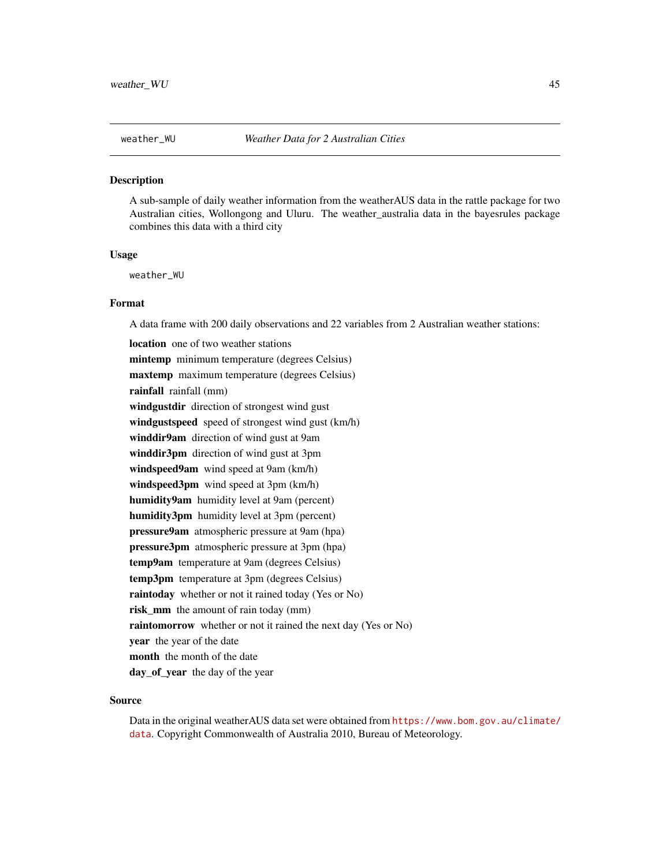<span id="page-44-0"></span>

A sub-sample of daily weather information from the weatherAUS data in the rattle package for two Australian cities, Wollongong and Uluru. The weather\_australia data in the bayesrules package combines this data with a third city

#### Usage

weather\_WU

#### Format

A data frame with 200 daily observations and 22 variables from 2 Australian weather stations:

location one of two weather stations mintemp minimum temperature (degrees Celsius) maxtemp maximum temperature (degrees Celsius) rainfall rainfall (mm) windgustdir direction of strongest wind gust windgustspeed speed of strongest wind gust (km/h) winddir9am direction of wind gust at 9am winddir3pm direction of wind gust at 3pm windspeed9am wind speed at 9am (km/h) windspeed3pm wind speed at 3pm (km/h) humidity9am humidity level at 9am (percent) humidity3pm humidity level at 3pm (percent) pressure9am atmospheric pressure at 9am (hpa) pressure3pm atmospheric pressure at 3pm (hpa) temp9am temperature at 9am (degrees Celsius) temp3pm temperature at 3pm (degrees Celsius) raintoday whether or not it rained today (Yes or No) risk\_mm the amount of rain today (mm) raintomorrow whether or not it rained the next day (Yes or No) year the year of the date month the month of the date day\_of\_year the day of the year

### Source

Data in the original weatherAUS data set were obtained from [https://www.bom.gov.au/climate/](https://www.bom.gov.au/climate/data) [data](https://www.bom.gov.au/climate/data). Copyright Commonwealth of Australia 2010, Bureau of Meteorology.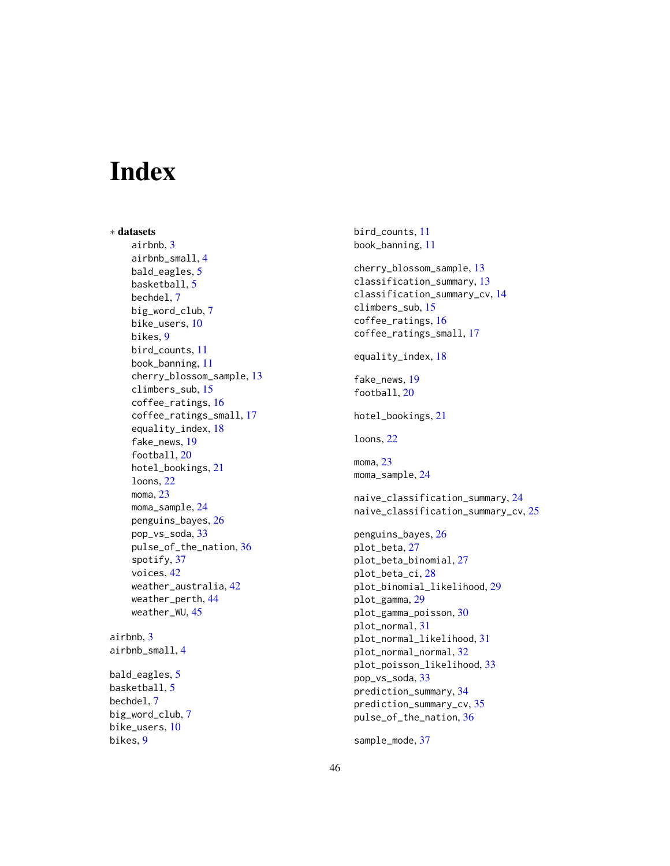# <span id="page-45-0"></span>**Index**

∗ datasets airbnb, [3](#page-2-0) airbnb\_small, [4](#page-3-0) bald\_eagles, [5](#page-4-0) basketball, [5](#page-4-0) bechdel, [7](#page-6-0) big\_word\_club, [7](#page-6-0) bike\_users, [10](#page-9-0) bikes, [9](#page-8-0) bird\_counts, [11](#page-10-0) book\_banning, [11](#page-10-0) cherry\_blossom\_sample, [13](#page-12-0) climbers\_sub, [15](#page-14-0) coffee\_ratings, [16](#page-15-0) coffee\_ratings\_small, [17](#page-16-0) equality\_index, [18](#page-17-0) fake\_news, [19](#page-18-0) football, [20](#page-19-0) hotel\_bookings, [21](#page-20-0) loons, [22](#page-21-0) moma, [23](#page-22-0) moma\_sample, [24](#page-23-0) penguins\_bayes, [26](#page-25-0) pop\_vs\_soda, [33](#page-32-0) pulse\_of\_the\_nation, [36](#page-35-0) spotify, [37](#page-36-0) voices, [42](#page-41-0) weather\_australia, [42](#page-41-0) weather\_perth, [44](#page-43-0) weather\_WU, [45](#page-44-0) airbnb, [3](#page-2-0) airbnb\_small, [4](#page-3-0) bald\_eagles, [5](#page-4-0) basketball, [5](#page-4-0) bechdel, [7](#page-6-0) big\_word\_club, [7](#page-6-0) bike\_users, [10](#page-9-0)

bikes, [9](#page-8-0)

```
bird_counts, 11
book_banning, 11
cherry_blossom_sample, 13
classification_summary, 13
classification_summary_cv, 14
climbers_sub, 15
coffee_ratings, 16
coffee_ratings_small, 17
equality_index, 18
fake_news, 19
football, 20
hotel_bookings, 21
loons, 22
23
moma_sample, 24
naive_classification_summary, 24
naive_classification_summary_cv, 25
penguins_bayes, 26
plot_beta, 27
plot_beta_binomial, 27
plot_beta_ci, 28
plot_binomial_likelihood, 29
plot_gamma, 29
plot_gamma_poisson, 30
plot_normal, 31
plot_normal_likelihood, 31
plot_normal_normal, 32
plot_poisson_likelihood, 33
pop_vs_soda, 33
prediction_summary, 34
prediction_summary_cv, 35
pulse_of_the_nation, 36
```
sample\_mode, [37](#page-36-0)